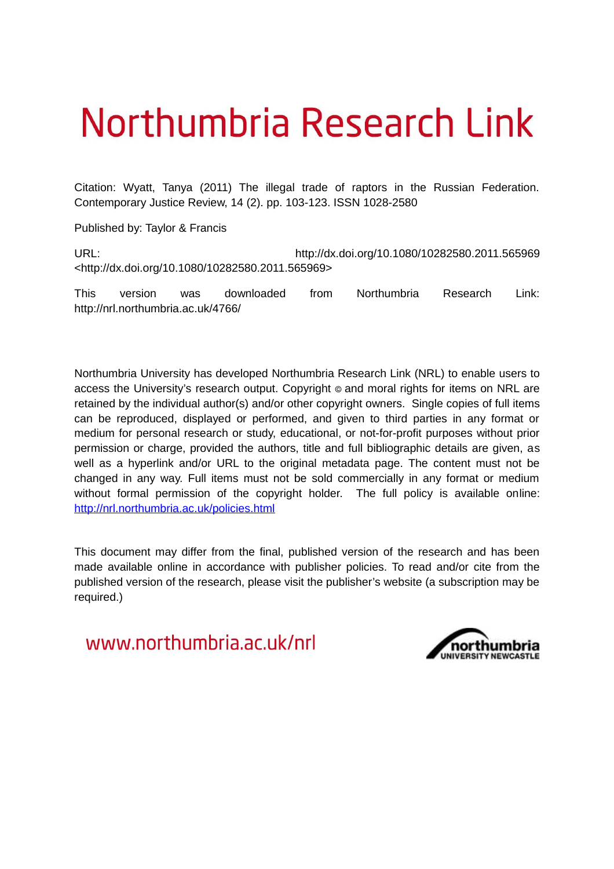# Northumbria Research Link

Citation: Wyatt, Tanya (2011) The illegal trade of raptors in the Russian Federation. Contemporary Justice Review, 14 (2). pp. 103-123. ISSN 1028-2580

Published by: Taylor & Francis

URL: http://dx.doi.org/10.1080/10282580.2011.565969 <http://dx.doi.org/10.1080/10282580.2011.565969>

This version was downloaded from Northumbria Research Link: http://nrl.northumbria.ac.uk/4766/

Northumbria University has developed Northumbria Research Link (NRL) to enable users to access the University's research output. Copyright  $\circ$  and moral rights for items on NRL are retained by the individual author(s) and/or other copyright owners. Single copies of full items can be reproduced, displayed or performed, and given to third parties in any format or medium for personal research or study, educational, or not-for-profit purposes without prior permission or charge, provided the authors, title and full bibliographic details are given, as well as a hyperlink and/or URL to the original metadata page. The content must not be changed in any way. Full items must not be sold commercially in any format or medium without formal permission of the copyright holder. The full policy is available online: <http://nrl.northumbria.ac.uk/policies.html>

This document may differ from the final, published version of the research and has been made available online in accordance with publisher policies. To read and/or cite from the published version of the research, please visit the publisher's website (a subscription may be required.)

www.northumbria.ac.uk/nrl

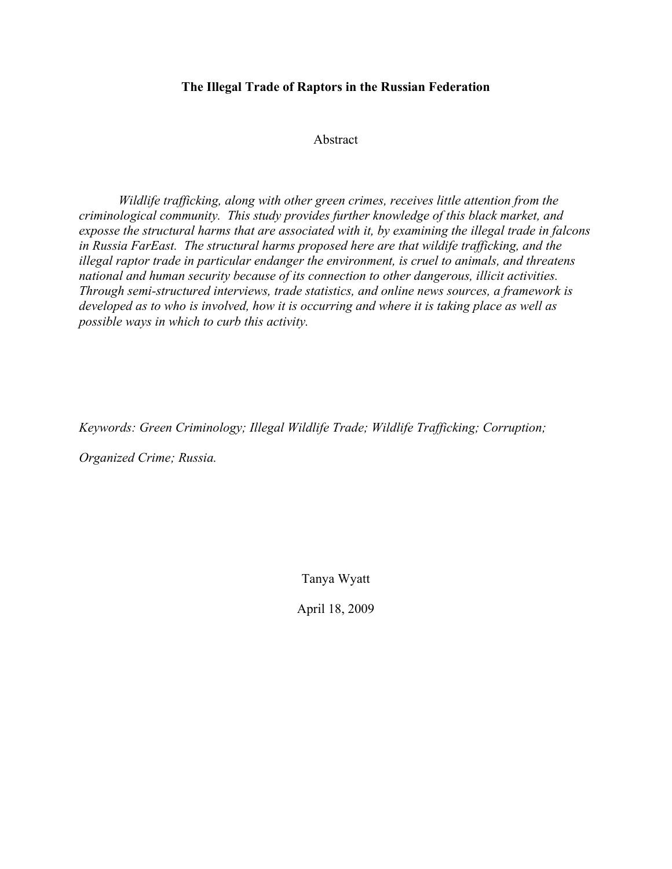# **The Illegal Trade of Raptors in the Russian Federation**

Abstract

*Wildlife trafficking, along with other green crimes, receives little attention from the criminological community. This study provides further knowledge of this black market, and exposse the structural harms that are associated with it, by examining the illegal trade in falcons in Russia FarEast. The structural harms proposed here are that wildife trafficking, and the illegal raptor trade in particular endanger the environment, is cruel to animals, and threatens national and human security because of its connection to other dangerous, illicit activities. Through semi-structured interviews, trade statistics, and online news sources, a framework is developed as to who is involved, how it is occurring and where it is taking place as well as possible ways in which to curb this activity.*

*Keywords: Green Criminology; Illegal Wildlife Trade; Wildlife Trafficking; Corruption;* 

*Organized Crime; Russia.*

Tanya Wyatt

April 18, 2009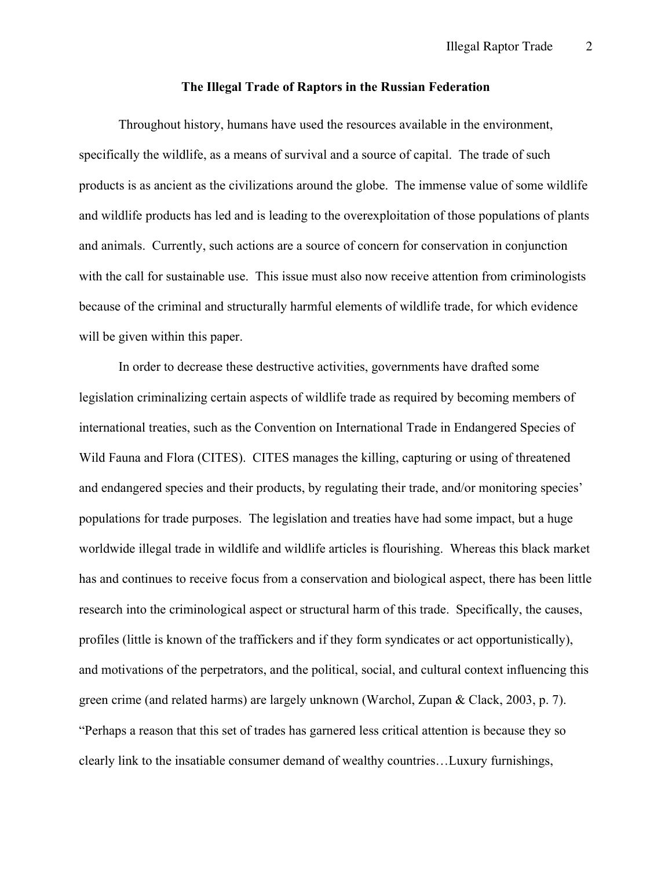#### **The Illegal Trade of Raptors in the Russian Federation**

Throughout history, humans have used the resources available in the environment, specifically the wildlife, as a means of survival and a source of capital. The trade of such products is as ancient as the civilizations around the globe. The immense value of some wildlife and wildlife products has led and is leading to the overexploitation of those populations of plants and animals. Currently, such actions are a source of concern for conservation in conjunction with the call for sustainable use. This issue must also now receive attention from criminologists because of the criminal and structurally harmful elements of wildlife trade, for which evidence will be given within this paper.

In order to decrease these destructive activities, governments have drafted some legislation criminalizing certain aspects of wildlife trade as required by becoming members of international treaties, such as the Convention on International Trade in Endangered Species of Wild Fauna and Flora (CITES). CITES manages the killing, capturing or using of threatened and endangered species and their products, by regulating their trade, and/or monitoring species' populations for trade purposes. The legislation and treaties have had some impact, but a huge worldwide illegal trade in wildlife and wildlife articles is flourishing. Whereas this black market has and continues to receive focus from a conservation and biological aspect, there has been little research into the criminological aspect or structural harm of this trade. Specifically, the causes, profiles (little is known of the traffickers and if they form syndicates or act opportunistically), and motivations of the perpetrators, and the political, social, and cultural context influencing this green crime (and related harms) are largely unknown (Warchol, Zupan & Clack, 2003, p. 7). "Perhaps a reason that this set of trades has garnered less critical attention is because they so clearly link to the insatiable consumer demand of wealthy countries…Luxury furnishings,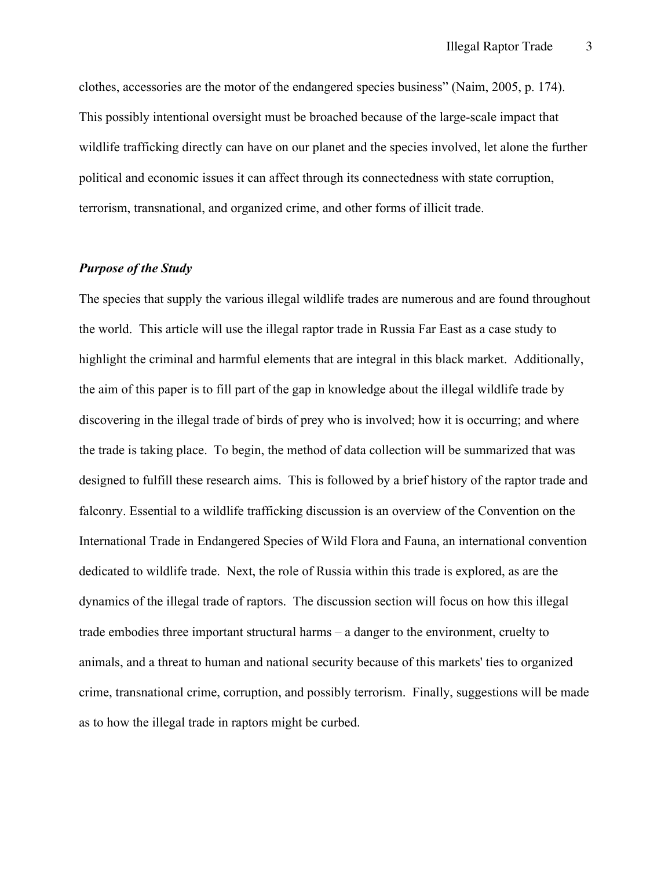clothes, accessories are the motor of the endangered species business" (Naim, 2005, p. 174). This possibly intentional oversight must be broached because of the large-scale impact that wildlife trafficking directly can have on our planet and the species involved, let alone the further political and economic issues it can affect through its connectedness with state corruption, terrorism, transnational, and organized crime, and other forms of illicit trade.

## *Purpose of the Study*

The species that supply the various illegal wildlife trades are numerous and are found throughout the world. This article will use the illegal raptor trade in Russia Far East as a case study to highlight the criminal and harmful elements that are integral in this black market. Additionally, the aim of this paper is to fill part of the gap in knowledge about the illegal wildlife trade by discovering in the illegal trade of birds of prey who is involved; how it is occurring; and where the trade is taking place. To begin, the method of data collection will be summarized that was designed to fulfill these research aims. This is followed by a brief history of the raptor trade and falconry. Essential to a wildlife trafficking discussion is an overview of the Convention on the International Trade in Endangered Species of Wild Flora and Fauna, an international convention dedicated to wildlife trade. Next, the role of Russia within this trade is explored, as are the dynamics of the illegal trade of raptors. The discussion section will focus on how this illegal trade embodies three important structural harms – a danger to the environment, cruelty to animals, and a threat to human and national security because of this markets' ties to organized crime, transnational crime, corruption, and possibly terrorism. Finally, suggestions will be made as to how the illegal trade in raptors might be curbed.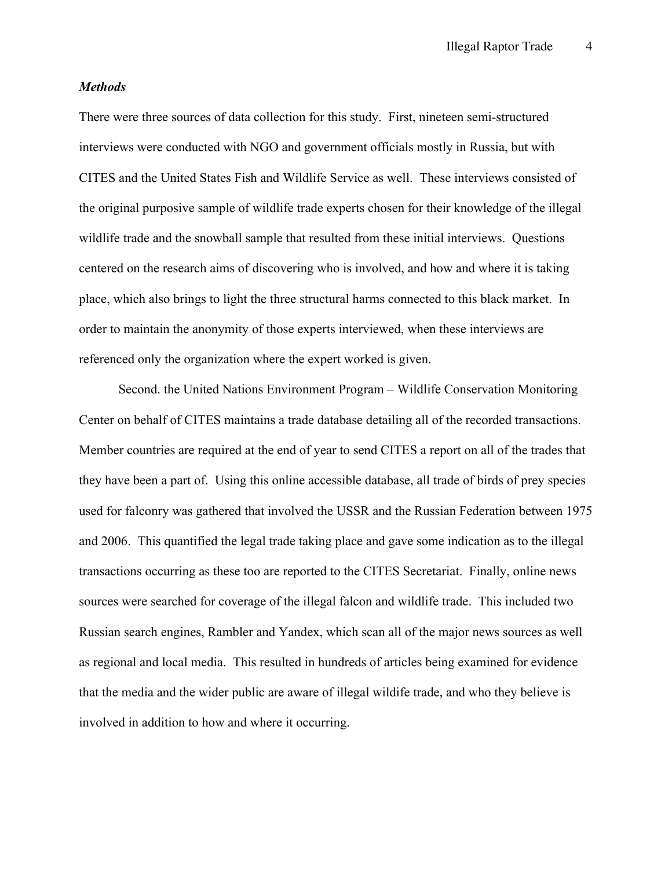#### *Methods*

There were three sources of data collection for this study. First, nineteen semi-structured interviews were conducted with NGO and government officials mostly in Russia, but with CITES and the United States Fish and Wildlife Service as well. These interviews consisted of the original purposive sample of wildlife trade experts chosen for their knowledge of the illegal wildlife trade and the snowball sample that resulted from these initial interviews. Questions centered on the research aims of discovering who is involved, and how and where it is taking place, which also brings to light the three structural harms connected to this black market. In order to maintain the anonymity of those experts interviewed, when these interviews are referenced only the organization where the expert worked is given.

Second. the United Nations Environment Program – Wildlife Conservation Monitoring Center on behalf of CITES maintains a trade database detailing all of the recorded transactions. Member countries are required at the end of year to send CITES a report on all of the trades that they have been a part of. Using this online accessible database, all trade of birds of prey species used for falconry was gathered that involved the USSR and the Russian Federation between 1975 and 2006. This quantified the legal trade taking place and gave some indication as to the illegal transactions occurring as these too are reported to the CITES Secretariat. Finally, online news sources were searched for coverage of the illegal falcon and wildlife trade. This included two Russian search engines, Rambler and Yandex, which scan all of the major news sources as well as regional and local media. This resulted in hundreds of articles being examined for evidence that the media and the wider public are aware of illegal wildife trade, and who they believe is involved in addition to how and where it occurring.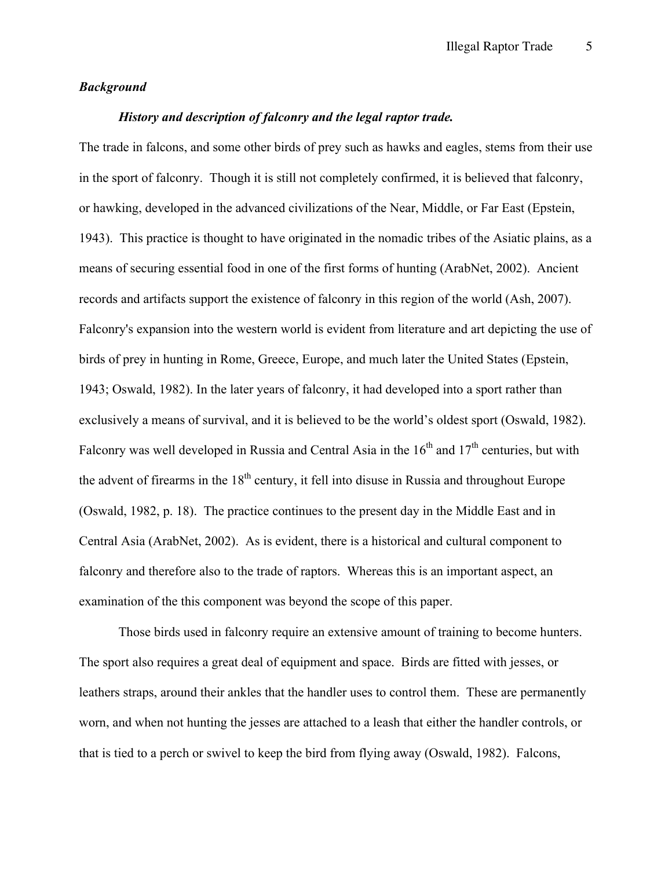## *Background*

# *History and description of falconry and the legal raptor trade.*

The trade in falcons, and some other birds of prey such as hawks and eagles, stems from their use in the sport of falconry. Though it is still not completely confirmed, it is believed that falconry, or hawking, developed in the advanced civilizations of the Near, Middle, or Far East (Epstein, 1943). This practice is thought to have originated in the nomadic tribes of the Asiatic plains, as a means of securing essential food in one of the first forms of hunting (ArabNet, 2002). Ancient records and artifacts support the existence of falconry in this region of the world (Ash, 2007). Falconry's expansion into the western world is evident from literature and art depicting the use of birds of prey in hunting in Rome, Greece, Europe, and much later the United States (Epstein, 1943; Oswald, 1982). In the later years of falconry, it had developed into a sport rather than exclusively a means of survival, and it is believed to be the world's oldest sport (Oswald, 1982). Falconry was well developed in Russia and Central Asia in the  $16<sup>th</sup>$  and  $17<sup>th</sup>$  centuries, but with the advent of firearms in the  $18<sup>th</sup>$  century, it fell into disuse in Russia and throughout Europe (Oswald, 1982, p. 18). The practice continues to the present day in the Middle East and in Central Asia (ArabNet, 2002). As is evident, there is a historical and cultural component to falconry and therefore also to the trade of raptors. Whereas this is an important aspect, an examination of the this component was beyond the scope of this paper.

Those birds used in falconry require an extensive amount of training to become hunters. The sport also requires a great deal of equipment and space. Birds are fitted with jesses, or leathers straps, around their ankles that the handler uses to control them. These are permanently worn, and when not hunting the jesses are attached to a leash that either the handler controls, or that is tied to a perch or swivel to keep the bird from flying away (Oswald, 1982). Falcons,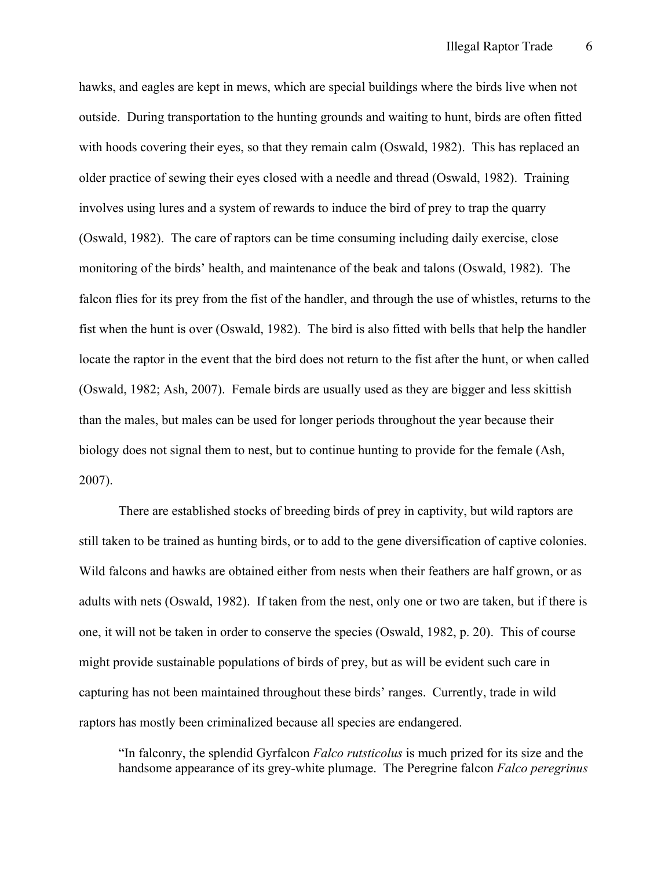hawks, and eagles are kept in mews, which are special buildings where the birds live when not outside. During transportation to the hunting grounds and waiting to hunt, birds are often fitted with hoods covering their eyes, so that they remain calm (Oswald, 1982). This has replaced an older practice of sewing their eyes closed with a needle and thread (Oswald, 1982). Training involves using lures and a system of rewards to induce the bird of prey to trap the quarry (Oswald, 1982). The care of raptors can be time consuming including daily exercise, close monitoring of the birds' health, and maintenance of the beak and talons (Oswald, 1982). The falcon flies for its prey from the fist of the handler, and through the use of whistles, returns to the fist when the hunt is over (Oswald, 1982). The bird is also fitted with bells that help the handler locate the raptor in the event that the bird does not return to the fist after the hunt, or when called (Oswald, 1982; Ash, 2007). Female birds are usually used as they are bigger and less skittish than the males, but males can be used for longer periods throughout the year because their biology does not signal them to nest, but to continue hunting to provide for the female (Ash, 2007).

There are established stocks of breeding birds of prey in captivity, but wild raptors are still taken to be trained as hunting birds, or to add to the gene diversification of captive colonies. Wild falcons and hawks are obtained either from nests when their feathers are half grown, or as adults with nets (Oswald, 1982). If taken from the nest, only one or two are taken, but if there is one, it will not be taken in order to conserve the species (Oswald, 1982, p. 20). This of course might provide sustainable populations of birds of prey, but as will be evident such care in capturing has not been maintained throughout these birds' ranges. Currently, trade in wild raptors has mostly been criminalized because all species are endangered.

"In falconry, the splendid Gyrfalcon *Falco rutsticolus* is much prized for its size and the handsome appearance of its grey-white plumage. The Peregrine falcon *Falco peregrinus*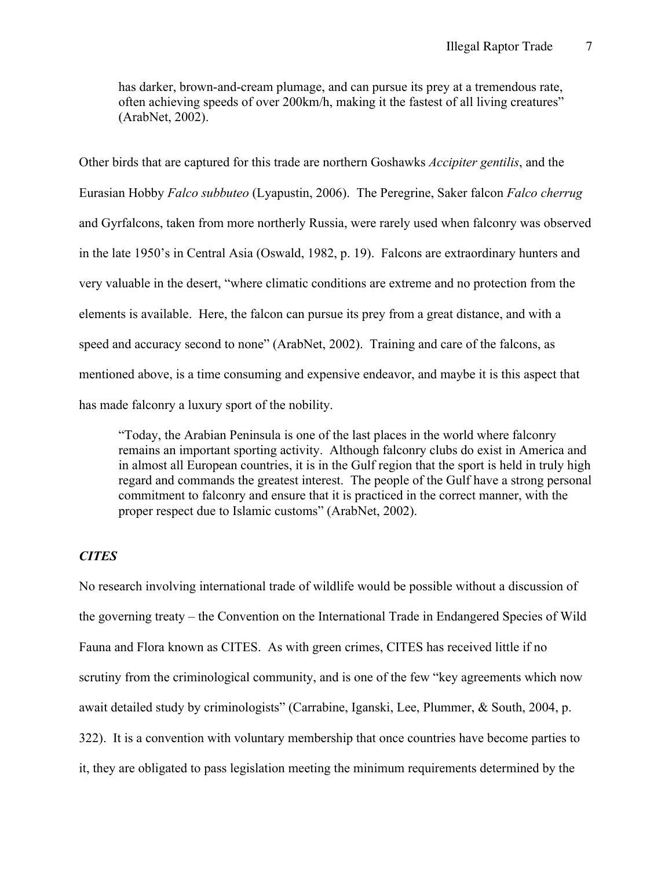has darker, brown-and-cream plumage, and can pursue its prey at a tremendous rate, often achieving speeds of over 200km/h, making it the fastest of all living creatures" (ArabNet, 2002).

Other birds that are captured for this trade are northern Goshawks *Accipiter gentilis*, and the Eurasian Hobby *Falco subbuteo* (Lyapustin, 2006). The Peregrine, Saker falcon *Falco cherrug* and Gyrfalcons, taken from more northerly Russia, were rarely used when falconry was observed in the late 1950's in Central Asia (Oswald, 1982, p. 19). Falcons are extraordinary hunters and very valuable in the desert, "where climatic conditions are extreme and no protection from the elements is available. Here, the falcon can pursue its prey from a great distance, and with a speed and accuracy second to none" (ArabNet, 2002). Training and care of the falcons, as mentioned above, is a time consuming and expensive endeavor, and maybe it is this aspect that has made falconry a luxury sport of the nobility.

"Today, the Arabian Peninsula is one of the last places in the world where falconry remains an important sporting activity. Although falconry clubs do exist in America and in almost all European countries, it is in the Gulf region that the sport is held in truly high regard and commands the greatest interest. The people of the Gulf have a strong personal commitment to falconry and ensure that it is practiced in the correct manner, with the proper respect due to Islamic customs" (ArabNet, 2002).

# *CITES*

No research involving international trade of wildlife would be possible without a discussion of the governing treaty – the Convention on the International Trade in Endangered Species of Wild Fauna and Flora known as CITES. As with green crimes, CITES has received little if no scrutiny from the criminological community, and is one of the few "key agreements which now await detailed study by criminologists" (Carrabine, Iganski, Lee, Plummer, & South, 2004, p. 322). It is a convention with voluntary membership that once countries have become parties to it, they are obligated to pass legislation meeting the minimum requirements determined by the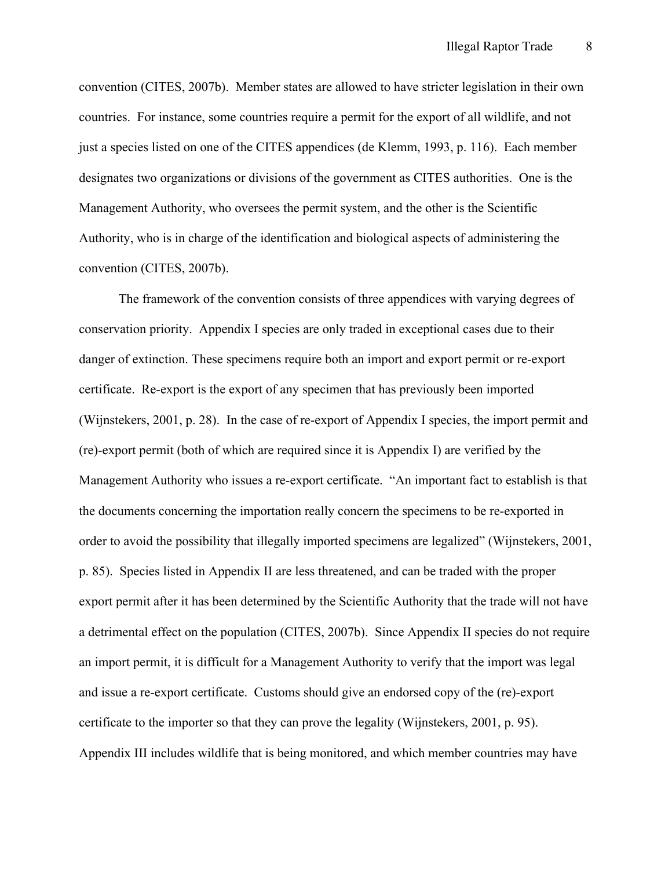convention (CITES, 2007b). Member states are allowed to have stricter legislation in their own countries. For instance, some countries require a permit for the export of all wildlife, and not just a species listed on one of the CITES appendices (de Klemm, 1993, p. 116). Each member designates two organizations or divisions of the government as CITES authorities. One is the Management Authority, who oversees the permit system, and the other is the Scientific Authority, who is in charge of the identification and biological aspects of administering the convention (CITES, 2007b).

The framework of the convention consists of three appendices with varying degrees of conservation priority. Appendix I species are only traded in exceptional cases due to their danger of extinction. These specimens require both an import and export permit or re-export certificate. Re-export is the export of any specimen that has previously been imported (Wijnstekers, 2001, p. 28). In the case of re-export of Appendix I species, the import permit and (re)-export permit (both of which are required since it is Appendix I) are verified by the Management Authority who issues a re-export certificate. "An important fact to establish is that the documents concerning the importation really concern the specimens to be re-exported in order to avoid the possibility that illegally imported specimens are legalized" (Wijnstekers, 2001, p. 85). Species listed in Appendix II are less threatened, and can be traded with the proper export permit after it has been determined by the Scientific Authority that the trade will not have a detrimental effect on the population (CITES, 2007b). Since Appendix II species do not require an import permit, it is difficult for a Management Authority to verify that the import was legal and issue a re-export certificate. Customs should give an endorsed copy of the (re)-export certificate to the importer so that they can prove the legality (Wijnstekers, 2001, p. 95). Appendix III includes wildlife that is being monitored, and which member countries may have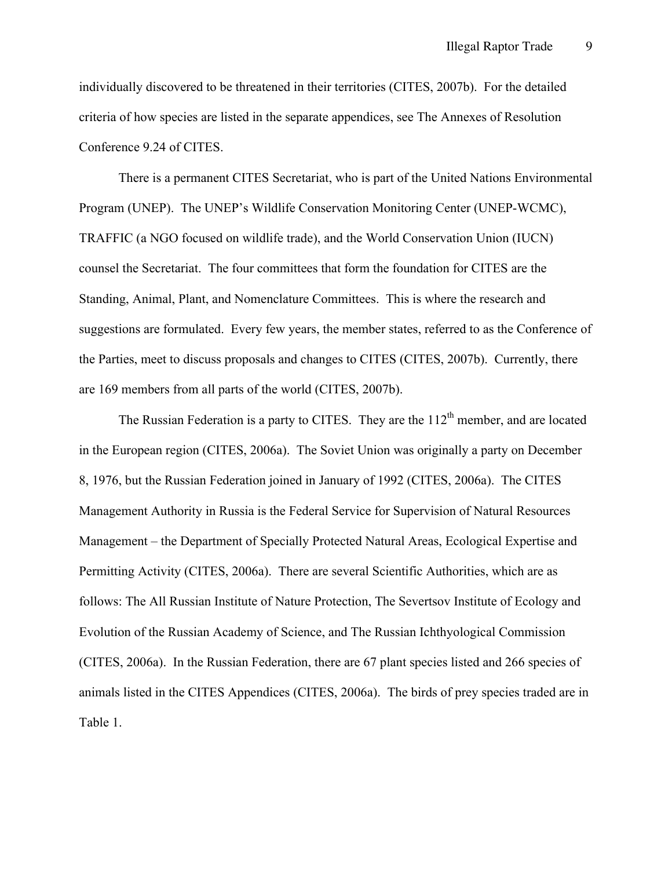individually discovered to be threatened in their territories (CITES, 2007b). For the detailed criteria of how species are listed in the separate appendices, see The Annexes of Resolution Conference 9.24 of CITES.

There is a permanent CITES Secretariat, who is part of the United Nations Environmental Program (UNEP). The UNEP's Wildlife Conservation Monitoring Center (UNEP-WCMC), TRAFFIC (a NGO focused on wildlife trade), and the World Conservation Union (IUCN) counsel the Secretariat. The four committees that form the foundation for CITES are the Standing, Animal, Plant, and Nomenclature Committees. This is where the research and suggestions are formulated. Every few years, the member states, referred to as the Conference of the Parties, meet to discuss proposals and changes to CITES (CITES, 2007b). Currently, there are 169 members from all parts of the world (CITES, 2007b).

The Russian Federation is a party to CITES. They are the  $112<sup>th</sup>$  member, and are located in the European region (CITES, 2006a). The Soviet Union was originally a party on December 8, 1976, but the Russian Federation joined in January of 1992 (CITES, 2006a). The CITES Management Authority in Russia is the Federal Service for Supervision of Natural Resources Management – the Department of Specially Protected Natural Areas, Ecological Expertise and Permitting Activity (CITES, 2006a). There are several Scientific Authorities, which are as follows: The All Russian Institute of Nature Protection, The Severtsov Institute of Ecology and Evolution of the Russian Academy of Science, and The Russian Ichthyological Commission (CITES, 2006a). In the Russian Federation, there are 67 plant species listed and 266 species of animals listed in the CITES Appendices (CITES, 2006a). The birds of prey species traded are in Table 1.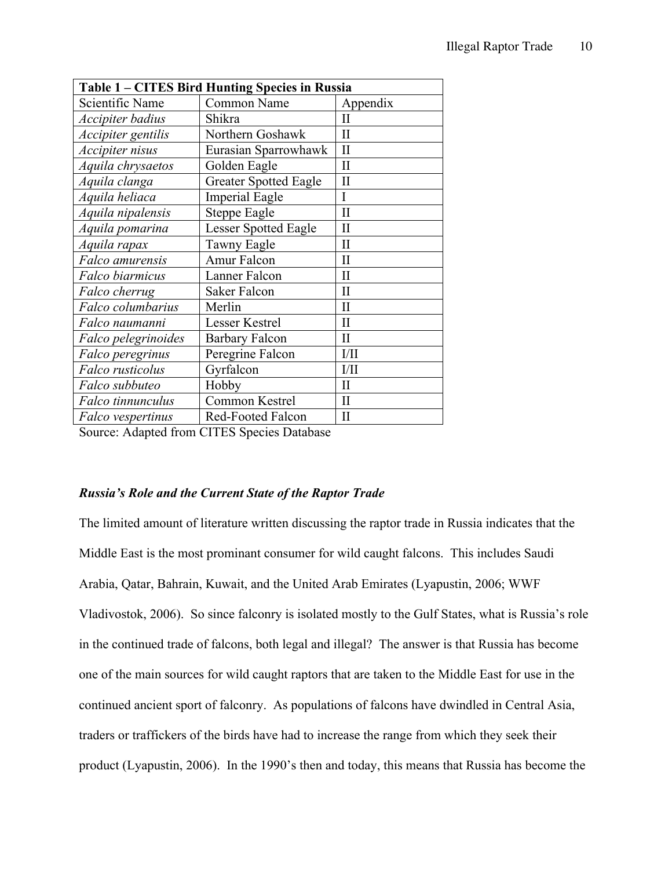| Table 1 - CITES Bird Hunting Species in Russia |                              |              |  |  |  |
|------------------------------------------------|------------------------------|--------------|--|--|--|
| Scientific Name                                | Common Name                  | Appendix     |  |  |  |
| Accipiter badius                               | Shikra                       | $\mathbf{I}$ |  |  |  |
| Accipiter gentilis                             | Northern Goshawk             | $\mathbf{I}$ |  |  |  |
| Accipiter nisus                                | Eurasian Sparrowhawk         | $\mathbf{I}$ |  |  |  |
| Aquila chrysaetos                              | Golden Eagle                 | $\mathbf{I}$ |  |  |  |
| Aquila clanga                                  | <b>Greater Spotted Eagle</b> | $\mathbf{I}$ |  |  |  |
| Aquila heliaca                                 | <b>Imperial Eagle</b>        | Ī            |  |  |  |
| Aquila nipalensis                              | <b>Steppe Eagle</b>          | $\mathbf{I}$ |  |  |  |
| Aquila pomarina                                | <b>Lesser Spotted Eagle</b>  | $\mathbf{I}$ |  |  |  |
| Aquila rapax                                   | <b>Tawny Eagle</b>           | $\mathbf{I}$ |  |  |  |
| Falco amurensis                                | <b>Amur Falcon</b>           | H            |  |  |  |
| Falco biarmicus                                | Lanner Falcon                | $\mathbf{I}$ |  |  |  |
| Falco cherrug                                  | <b>Saker Falcon</b>          | $\mathbf{I}$ |  |  |  |
| Falco columbarius                              | Merlin                       | $\mathbf{I}$ |  |  |  |
| Falco naumanni                                 | <b>Lesser Kestrel</b>        | $\mathbf{I}$ |  |  |  |
| Falco pelegrinoides                            | <b>Barbary Falcon</b>        | $\rm II$     |  |  |  |
| Falco peregrinus                               | Peregrine Falcon             | 1/11         |  |  |  |
| Falco rusticolus                               | Gyrfalcon                    | 1/11         |  |  |  |
| Falco subbuteo                                 | Hobby                        | $\rm II$     |  |  |  |
| Falco tinnunculus                              | Common Kestrel               | $\mathbf{I}$ |  |  |  |
| <b>Falco</b> vespertinus                       | Red-Footed Falcon            | $\mathbf{I}$ |  |  |  |

Source: Adapted from CITES Species Database

# *Russia's Role and the Current State of the Raptor Trade*

The limited amount of literature written discussing the raptor trade in Russia indicates that the Middle East is the most prominant consumer for wild caught falcons. This includes Saudi Arabia, Qatar, Bahrain, Kuwait, and the United Arab Emirates (Lyapustin, 2006; WWF Vladivostok, 2006). So since falconry is isolated mostly to the Gulf States, what is Russia's role in the continued trade of falcons, both legal and illegal? The answer is that Russia has become one of the main sources for wild caught raptors that are taken to the Middle East for use in the continued ancient sport of falconry. As populations of falcons have dwindled in Central Asia, traders or traffickers of the birds have had to increase the range from which they seek their product (Lyapustin, 2006). In the 1990's then and today, this means that Russia has become the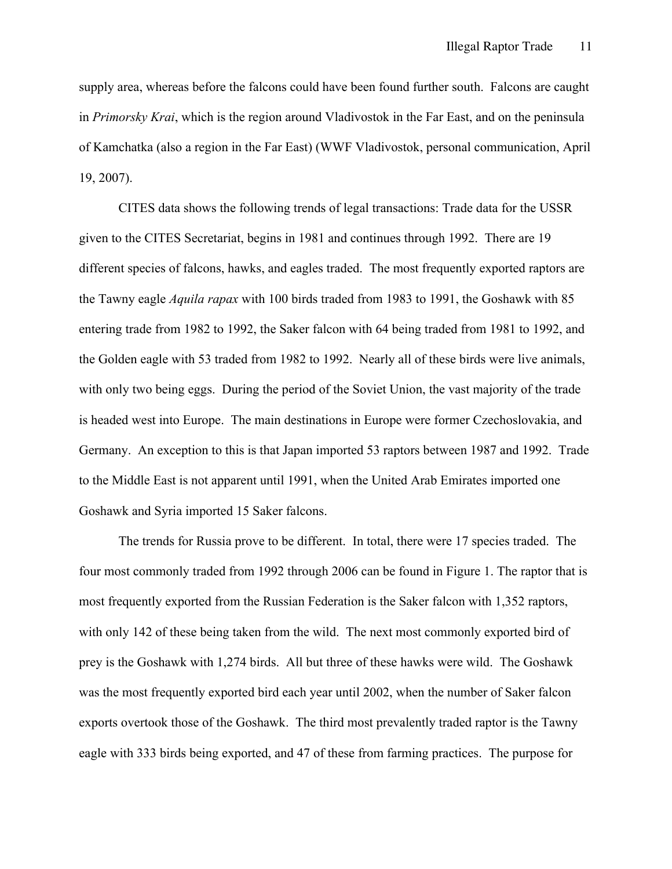supply area, whereas before the falcons could have been found further south. Falcons are caught in *Primorsky Krai*, which is the region around Vladivostok in the Far East, and on the peninsula of Kamchatka (also a region in the Far East) (WWF Vladivostok, personal communication, April 19, 2007).

CITES data shows the following trends of legal transactions: Trade data for the USSR given to the CITES Secretariat, begins in 1981 and continues through 1992. There are 19 different species of falcons, hawks, and eagles traded. The most frequently exported raptors are the Tawny eagle *Aquila rapax* with 100 birds traded from 1983 to 1991, the Goshawk with 85 entering trade from 1982 to 1992, the Saker falcon with 64 being traded from 1981 to 1992, and the Golden eagle with 53 traded from 1982 to 1992. Nearly all of these birds were live animals, with only two being eggs. During the period of the Soviet Union, the vast majority of the trade is headed west into Europe. The main destinations in Europe were former Czechoslovakia, and Germany. An exception to this is that Japan imported 53 raptors between 1987 and 1992. Trade to the Middle East is not apparent until 1991, when the United Arab Emirates imported one Goshawk and Syria imported 15 Saker falcons.

The trends for Russia prove to be different. In total, there were 17 species traded. The four most commonly traded from 1992 through 2006 can be found in Figure 1. The raptor that is most frequently exported from the Russian Federation is the Saker falcon with 1,352 raptors, with only 142 of these being taken from the wild. The next most commonly exported bird of prey is the Goshawk with 1,274 birds. All but three of these hawks were wild. The Goshawk was the most frequently exported bird each year until 2002, when the number of Saker falcon exports overtook those of the Goshawk. The third most prevalently traded raptor is the Tawny eagle with 333 birds being exported, and 47 of these from farming practices. The purpose for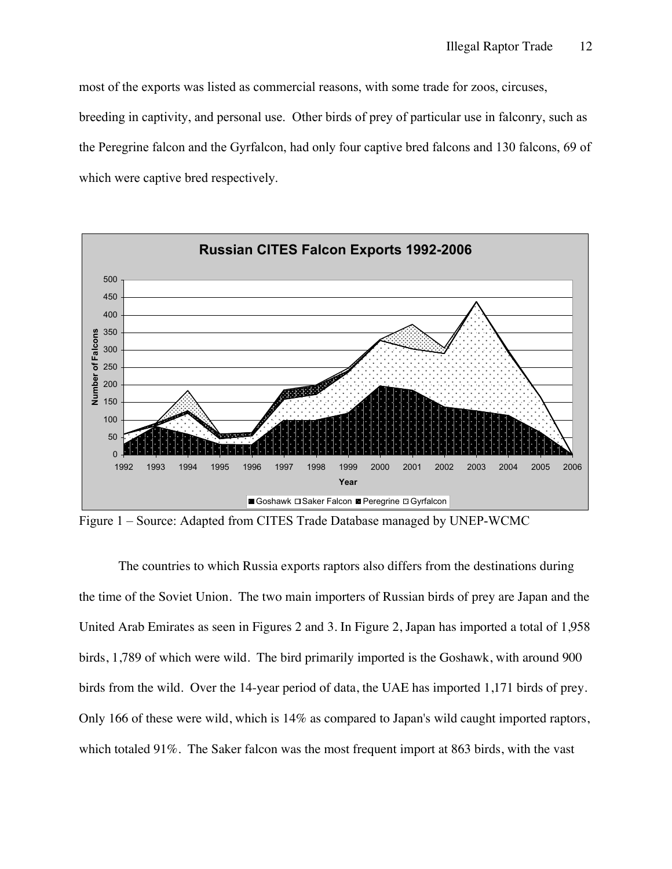most of the exports was listed as commercial reasons, with some trade for zoos, circuses, breeding in captivity, and personal use. Other birds of prey of particular use in falconry, such as the Peregrine falcon and the Gyrfalcon, had only four captive bred falcons and 130 falcons, 69 of which were captive bred respectively.



Figure 1 – Source: Adapted from CITES Trade Database managed by UNEP-WCMC

The countries to which Russia exports raptors also differs from the destinations during the time of the Soviet Union. The two main importers of Russian birds of prey are Japan and the United Arab Emirates as seen in Figures 2 and 3. In Figure 2, Japan has imported a total of 1,958 birds, 1,789 of which were wild. The bird primarily imported is the Goshawk, with around 900 birds from the wild. Over the 14-year period of data, the UAE has imported 1,171 birds of prey. Only 166 of these were wild, which is 14% as compared to Japan's wild caught imported raptors, which totaled 91%. The Saker falcon was the most frequent import at 863 birds, with the vast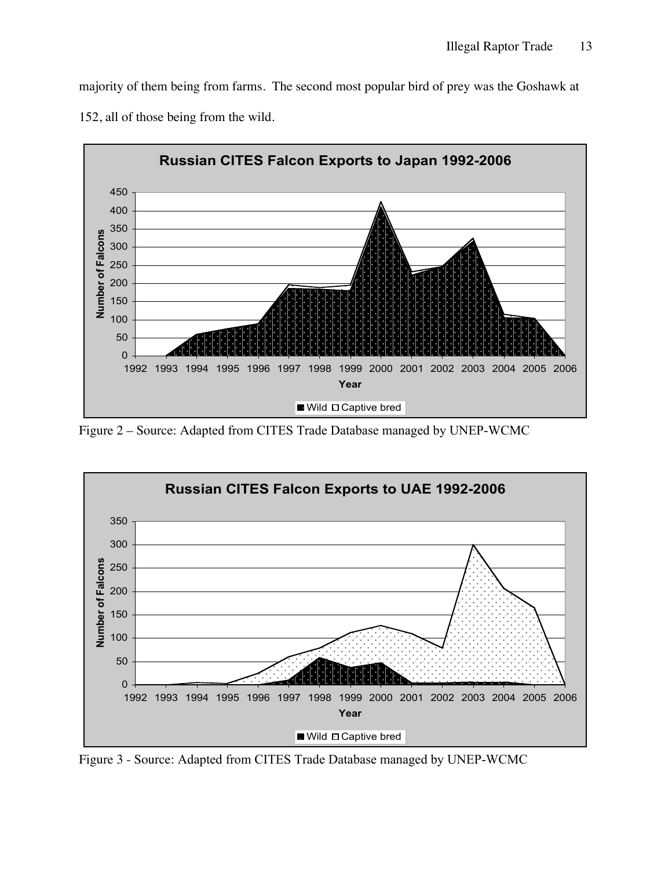majority of them being from farms. The second most popular bird of prey was the Goshawk at 152, all of those being from the wild.



Figure 2 – Source: Adapted from CITES Trade Database managed by UNEP-WCMC



Figure 3 - Source: Adapted from CITES Trade Database managed by UNEP-WCMC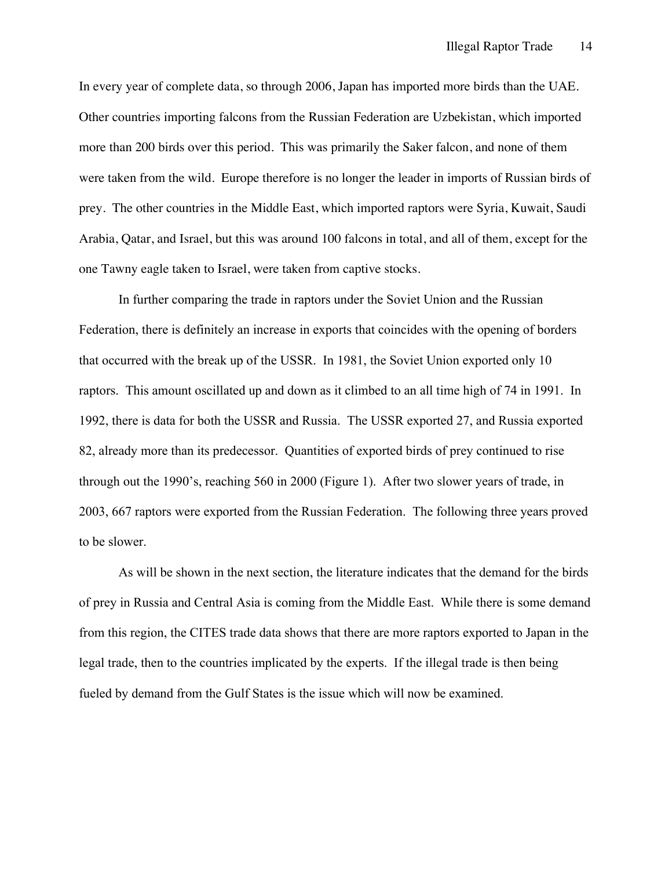In every year of complete data, so through 2006, Japan has imported more birds than the UAE. Other countries importing falcons from the Russian Federation are Uzbekistan, which imported more than 200 birds over this period. This was primarily the Saker falcon, and none of them were taken from the wild. Europe therefore is no longer the leader in imports of Russian birds of prey. The other countries in the Middle East, which imported raptors were Syria, Kuwait, Saudi Arabia, Qatar, and Israel, but this was around 100 falcons in total, and all of them, except for the one Tawny eagle taken to Israel, were taken from captive stocks.

In further comparing the trade in raptors under the Soviet Union and the Russian Federation, there is definitely an increase in exports that coincides with the opening of borders that occurred with the break up of the USSR. In 1981, the Soviet Union exported only 10 raptors. This amount oscillated up and down as it climbed to an all time high of 74 in 1991. In 1992, there is data for both the USSR and Russia. The USSR exported 27, and Russia exported 82, already more than its predecessor. Quantities of exported birds of prey continued to rise through out the 1990's, reaching 560 in 2000 (Figure 1). After two slower years of trade, in 2003, 667 raptors were exported from the Russian Federation. The following three years proved to be slower.

As will be shown in the next section, the literature indicates that the demand for the birds of prey in Russia and Central Asia is coming from the Middle East. While there is some demand from this region, the CITES trade data shows that there are more raptors exported to Japan in the legal trade, then to the countries implicated by the experts. If the illegal trade is then being fueled by demand from the Gulf States is the issue which will now be examined.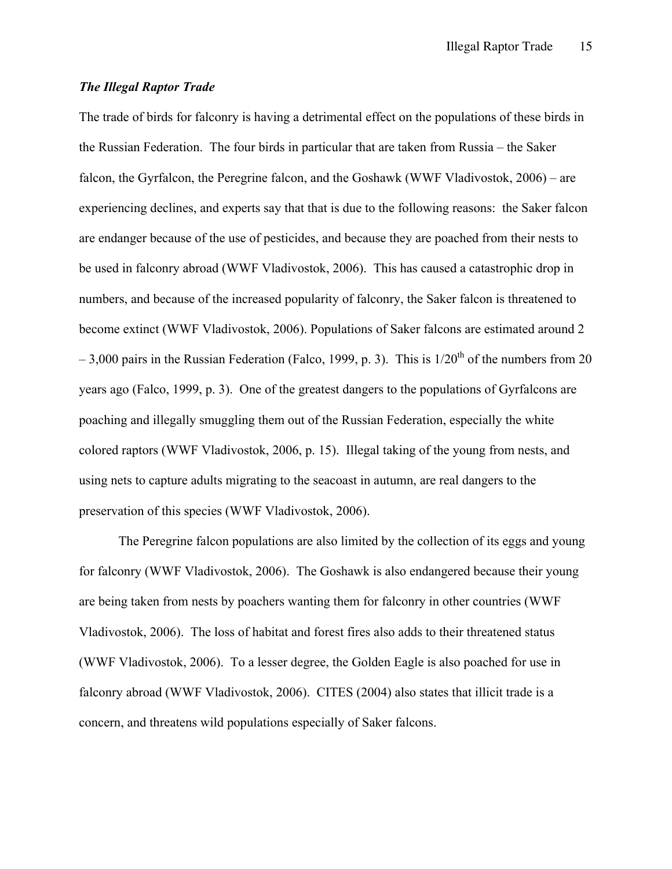# *The Illegal Raptor Trade*

The trade of birds for falconry is having a detrimental effect on the populations of these birds in the Russian Federation. The four birds in particular that are taken from Russia – the Saker falcon, the Gyrfalcon, the Peregrine falcon, and the Goshawk (WWF Vladivostok, 2006) – are experiencing declines, and experts say that that is due to the following reasons: the Saker falcon are endanger because of the use of pesticides, and because they are poached from their nests to be used in falconry abroad (WWF Vladivostok, 2006). This has caused a catastrophic drop in numbers, and because of the increased popularity of falconry, the Saker falcon is threatened to become extinct (WWF Vladivostok, 2006). Populations of Saker falcons are estimated around 2  $-3.000$  pairs in the Russian Federation (Falco, 1999, p. 3). This is  $1/20<sup>th</sup>$  of the numbers from 20 years ago (Falco, 1999, p. 3). One of the greatest dangers to the populations of Gyrfalcons are poaching and illegally smuggling them out of the Russian Federation, especially the white colored raptors (WWF Vladivostok, 2006, p. 15). Illegal taking of the young from nests, and using nets to capture adults migrating to the seacoast in autumn, are real dangers to the preservation of this species (WWF Vladivostok, 2006).

The Peregrine falcon populations are also limited by the collection of its eggs and young for falconry (WWF Vladivostok, 2006). The Goshawk is also endangered because their young are being taken from nests by poachers wanting them for falconry in other countries (WWF Vladivostok, 2006). The loss of habitat and forest fires also adds to their threatened status (WWF Vladivostok, 2006). To a lesser degree, the Golden Eagle is also poached for use in falconry abroad (WWF Vladivostok, 2006). CITES (2004) also states that illicit trade is a concern, and threatens wild populations especially of Saker falcons.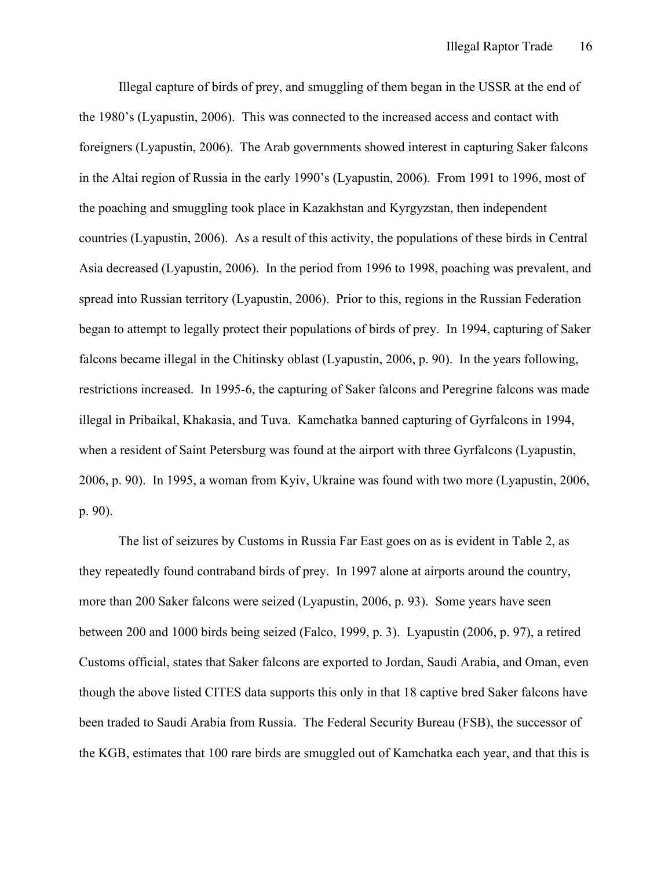Illegal capture of birds of prey, and smuggling of them began in the USSR at the end of the 1980's (Lyapustin, 2006). This was connected to the increased access and contact with foreigners (Lyapustin, 2006). The Arab governments showed interest in capturing Saker falcons in the Altai region of Russia in the early 1990's (Lyapustin, 2006). From 1991 to 1996, most of the poaching and smuggling took place in Kazakhstan and Kyrgyzstan, then independent countries (Lyapustin, 2006). As a result of this activity, the populations of these birds in Central Asia decreased (Lyapustin, 2006). In the period from 1996 to 1998, poaching was prevalent, and spread into Russian territory (Lyapustin, 2006). Prior to this, regions in the Russian Federation began to attempt to legally protect their populations of birds of prey. In 1994, capturing of Saker falcons became illegal in the Chitinsky oblast (Lyapustin, 2006, p. 90). In the years following, restrictions increased. In 1995-6, the capturing of Saker falcons and Peregrine falcons was made illegal in Pribaikal, Khakasia, and Tuva. Kamchatka banned capturing of Gyrfalcons in 1994, when a resident of Saint Petersburg was found at the airport with three Gyrfalcons (Lyapustin, 2006, p. 90). In 1995, a woman from Kyiv, Ukraine was found with two more (Lyapustin, 2006, p. 90).

The list of seizures by Customs in Russia Far East goes on as is evident in Table 2, as they repeatedly found contraband birds of prey. In 1997 alone at airports around the country, more than 200 Saker falcons were seized (Lyapustin, 2006, p. 93). Some years have seen between 200 and 1000 birds being seized (Falco, 1999, p. 3). Lyapustin (2006, p. 97), a retired Customs official, states that Saker falcons are exported to Jordan, Saudi Arabia, and Oman, even though the above listed CITES data supports this only in that 18 captive bred Saker falcons have been traded to Saudi Arabia from Russia. The Federal Security Bureau (FSB), the successor of the KGB, estimates that 100 rare birds are smuggled out of Kamchatka each year, and that this is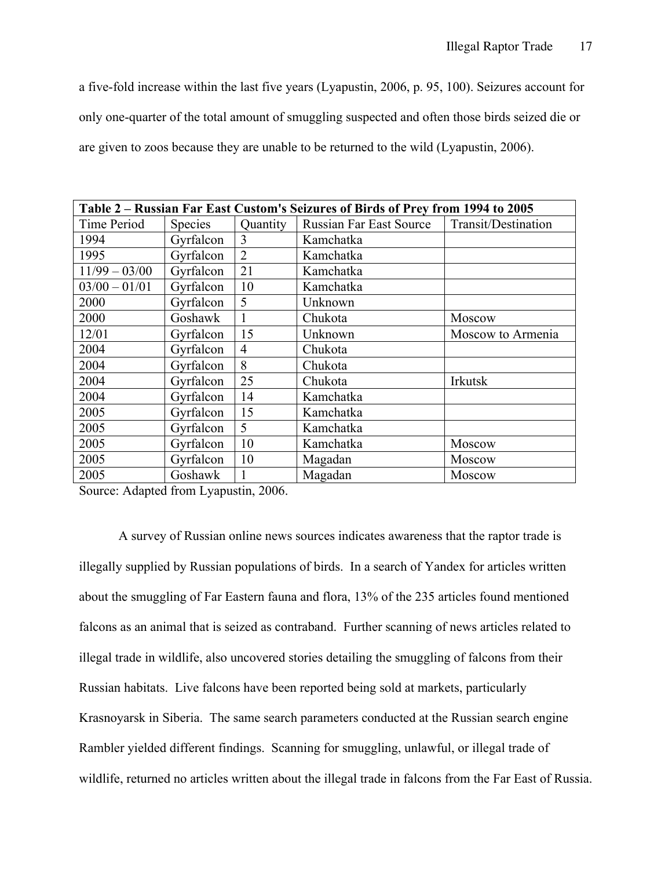a five-fold increase within the last five years (Lyapustin, 2006, p. 95, 100). Seizures account for only one-quarter of the total amount of smuggling suspected and often those birds seized die or are given to zoos because they are unable to be returned to the wild (Lyapustin, 2006).

| Table 2 - Russian Far East Custom's Seizures of Birds of Prey from 1994 to 2005 |                |                |                                |                     |  |
|---------------------------------------------------------------------------------|----------------|----------------|--------------------------------|---------------------|--|
| Time Period                                                                     | <b>Species</b> | Quantity       | <b>Russian Far East Source</b> | Transit/Destination |  |
| 1994                                                                            | Gyrfalcon      | 3              | Kamchatka                      |                     |  |
| 1995                                                                            | Gyrfalcon      | $\overline{2}$ | Kamchatka                      |                     |  |
| $11/99 - 03/00$                                                                 | Gyrfalcon      | 21             | Kamchatka                      |                     |  |
| $03/00 - 01/01$                                                                 | Gyrfalcon      | 10             | Kamchatka                      |                     |  |
| 2000                                                                            | Gyrfalcon      | 5              | Unknown                        |                     |  |
| 2000                                                                            | Goshawk        |                | Chukota                        | Moscow              |  |
| 12/01                                                                           | Gyrfalcon      | 15             | Unknown                        | Moscow to Armenia   |  |
| 2004                                                                            | Gyrfalcon      | $\overline{4}$ | Chukota                        |                     |  |
| 2004                                                                            | Gyrfalcon      | 8              | Chukota                        |                     |  |
| 2004                                                                            | Gyrfalcon      | 25             | Chukota                        | Irkutsk             |  |
| 2004                                                                            | Gyrfalcon      | 14             | Kamchatka                      |                     |  |
| 2005                                                                            | Gyrfalcon      | 15             | Kamchatka                      |                     |  |
| 2005                                                                            | Gyrfalcon      | 5              | Kamchatka                      |                     |  |
| 2005                                                                            | Gyrfalcon      | 10             | Kamchatka                      | Moscow              |  |
| 2005                                                                            | Gyrfalcon      | 10             | Magadan                        | Moscow              |  |
| 2005                                                                            | Goshawk        |                | Magadan                        | Moscow              |  |

Source: Adapted from Lyapustin, 2006.

A survey of Russian online news sources indicates awareness that the raptor trade is illegally supplied by Russian populations of birds. In a search of Yandex for articles written about the smuggling of Far Eastern fauna and flora, 13% of the 235 articles found mentioned falcons as an animal that is seized as contraband. Further scanning of news articles related to illegal trade in wildlife, also uncovered stories detailing the smuggling of falcons from their Russian habitats. Live falcons have been reported being sold at markets, particularly Krasnoyarsk in Siberia. The same search parameters conducted at the Russian search engine Rambler yielded different findings. Scanning for smuggling, unlawful, or illegal trade of wildlife, returned no articles written about the illegal trade in falcons from the Far East of Russia.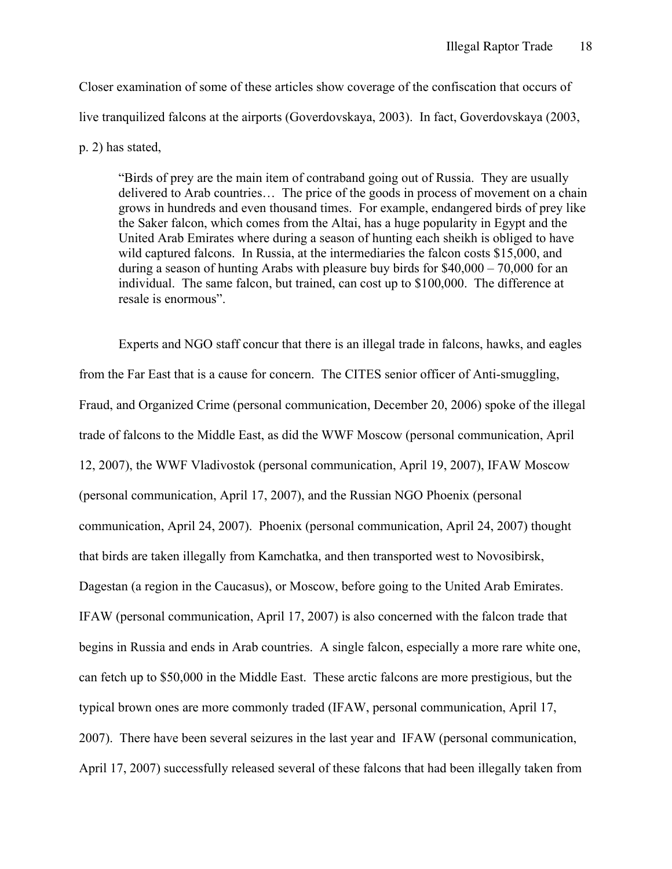Closer examination of some of these articles show coverage of the confiscation that occurs of live tranquilized falcons at the airports (Goverdovskaya, 2003). In fact, Goverdovskaya (2003,

p. 2) has stated,

"Birds of prey are the main item of contraband going out of Russia. They are usually delivered to Arab countries… The price of the goods in process of movement on a chain grows in hundreds and even thousand times. For example, endangered birds of prey like the Saker falcon, which comes from the Altai, has a huge popularity in Egypt and the United Arab Emirates where during a season of hunting each sheikh is obliged to have wild captured falcons. In Russia, at the intermediaries the falcon costs \$15,000, and during a season of hunting Arabs with pleasure buy birds for \$40,000 – 70,000 for an individual. The same falcon, but trained, can cost up to \$100,000. The difference at resale is enormous".

Experts and NGO staff concur that there is an illegal trade in falcons, hawks, and eagles from the Far East that is a cause for concern. The CITES senior officer of Anti-smuggling, Fraud, and Organized Crime (personal communication, December 20, 2006) spoke of the illegal trade of falcons to the Middle East, as did the WWF Moscow (personal communication, April 12, 2007), the WWF Vladivostok (personal communication, April 19, 2007), IFAW Moscow (personal communication, April 17, 2007), and the Russian NGO Phoenix (personal communication, April 24, 2007). Phoenix (personal communication, April 24, 2007) thought that birds are taken illegally from Kamchatka, and then transported west to Novosibirsk, Dagestan (a region in the Caucasus), or Moscow, before going to the United Arab Emirates. IFAW (personal communication, April 17, 2007) is also concerned with the falcon trade that begins in Russia and ends in Arab countries. A single falcon, especially a more rare white one, can fetch up to \$50,000 in the Middle East. These arctic falcons are more prestigious, but the typical brown ones are more commonly traded (IFAW, personal communication, April 17, 2007). There have been several seizures in the last year and IFAW (personal communication, April 17, 2007) successfully released several of these falcons that had been illegally taken from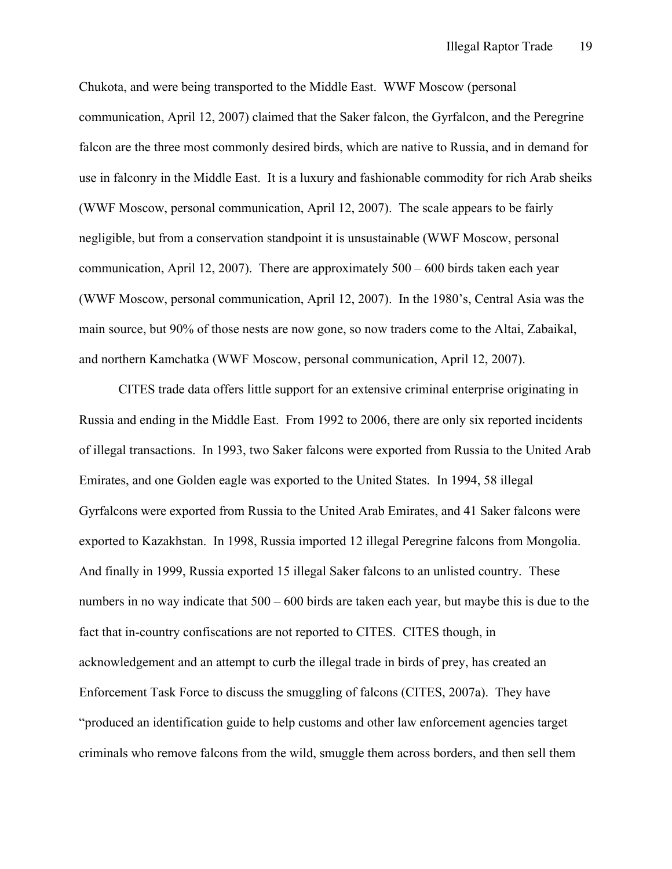Chukota, and were being transported to the Middle East. WWF Moscow (personal communication, April 12, 2007) claimed that the Saker falcon, the Gyrfalcon, and the Peregrine falcon are the three most commonly desired birds, which are native to Russia, and in demand for use in falconry in the Middle East. It is a luxury and fashionable commodity for rich Arab sheiks (WWF Moscow, personal communication, April 12, 2007). The scale appears to be fairly negligible, but from a conservation standpoint it is unsustainable (WWF Moscow, personal communication, April 12, 2007). There are approximately 500 – 600 birds taken each year (WWF Moscow, personal communication, April 12, 2007). In the 1980's, Central Asia was the main source, but 90% of those nests are now gone, so now traders come to the Altai, Zabaikal, and northern Kamchatka (WWF Moscow, personal communication, April 12, 2007).

CITES trade data offers little support for an extensive criminal enterprise originating in Russia and ending in the Middle East. From 1992 to 2006, there are only six reported incidents of illegal transactions. In 1993, two Saker falcons were exported from Russia to the United Arab Emirates, and one Golden eagle was exported to the United States. In 1994, 58 illegal Gyrfalcons were exported from Russia to the United Arab Emirates, and 41 Saker falcons were exported to Kazakhstan. In 1998, Russia imported 12 illegal Peregrine falcons from Mongolia. And finally in 1999, Russia exported 15 illegal Saker falcons to an unlisted country. These numbers in no way indicate that  $500 - 600$  birds are taken each year, but maybe this is due to the fact that in-country confiscations are not reported to CITES. CITES though, in acknowledgement and an attempt to curb the illegal trade in birds of prey, has created an Enforcement Task Force to discuss the smuggling of falcons (CITES, 2007a). They have "produced an identification guide to help customs and other law enforcement agencies target criminals who remove falcons from the wild, smuggle them across borders, and then sell them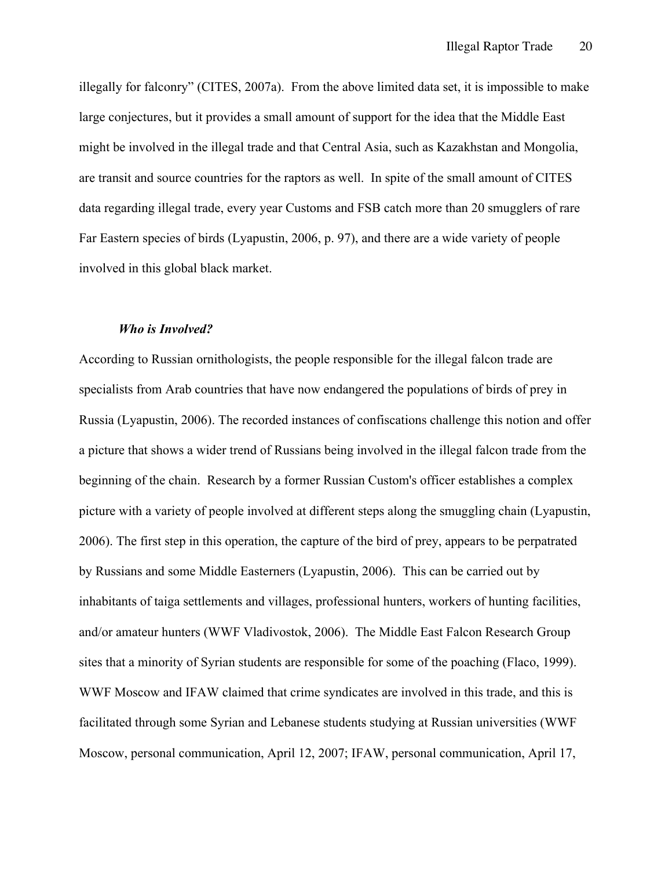illegally for falconry" (CITES, 2007a). From the above limited data set, it is impossible to make large conjectures, but it provides a small amount of support for the idea that the Middle East might be involved in the illegal trade and that Central Asia, such as Kazakhstan and Mongolia, are transit and source countries for the raptors as well. In spite of the small amount of CITES data regarding illegal trade, every year Customs and FSB catch more than 20 smugglers of rare Far Eastern species of birds (Lyapustin, 2006, p. 97), and there are a wide variety of people involved in this global black market.

#### *Who is Involved?*

According to Russian ornithologists, the people responsible for the illegal falcon trade are specialists from Arab countries that have now endangered the populations of birds of prey in Russia (Lyapustin, 2006). The recorded instances of confiscations challenge this notion and offer a picture that shows a wider trend of Russians being involved in the illegal falcon trade from the beginning of the chain. Research by a former Russian Custom's officer establishes a complex picture with a variety of people involved at different steps along the smuggling chain (Lyapustin, 2006). The first step in this operation, the capture of the bird of prey, appears to be perpatrated by Russians and some Middle Easterners (Lyapustin, 2006). This can be carried out by inhabitants of taiga settlements and villages, professional hunters, workers of hunting facilities, and/or amateur hunters (WWF Vladivostok, 2006). The Middle East Falcon Research Group sites that a minority of Syrian students are responsible for some of the poaching (Flaco, 1999). WWF Moscow and IFAW claimed that crime syndicates are involved in this trade, and this is facilitated through some Syrian and Lebanese students studying at Russian universities (WWF Moscow, personal communication, April 12, 2007; IFAW, personal communication, April 17,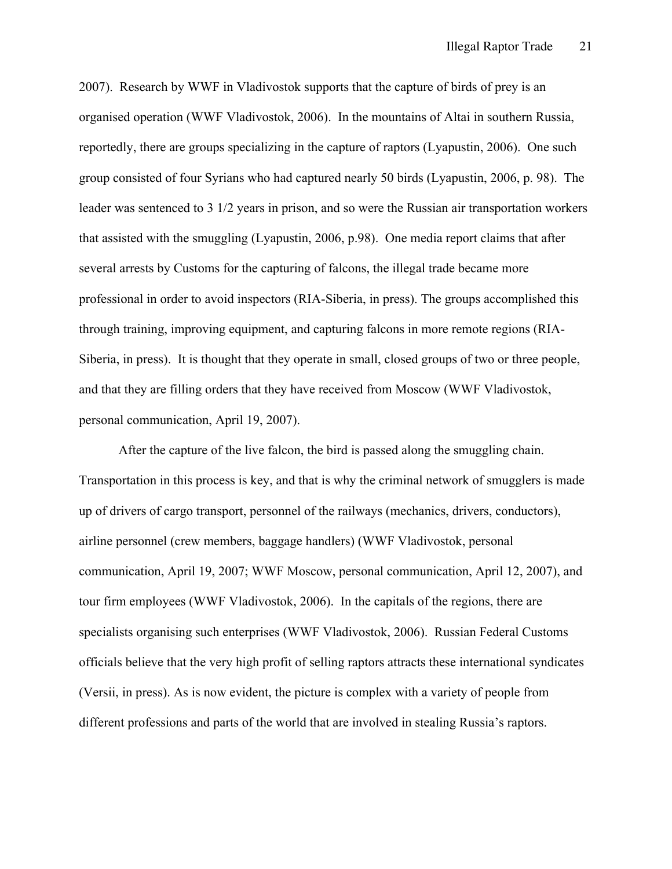2007). Research by WWF in Vladivostok supports that the capture of birds of prey is an organised operation (WWF Vladivostok, 2006). In the mountains of Altai in southern Russia, reportedly, there are groups specializing in the capture of raptors (Lyapustin, 2006). One such group consisted of four Syrians who had captured nearly 50 birds (Lyapustin, 2006, p. 98). The leader was sentenced to 3 1/2 years in prison, and so were the Russian air transportation workers that assisted with the smuggling (Lyapustin, 2006, p.98). One media report claims that after several arrests by Customs for the capturing of falcons, the illegal trade became more professional in order to avoid inspectors (RIA-Siberia, in press). The groups accomplished this through training, improving equipment, and capturing falcons in more remote regions (RIA-Siberia, in press). It is thought that they operate in small, closed groups of two or three people, and that they are filling orders that they have received from Moscow (WWF Vladivostok, personal communication, April 19, 2007).

After the capture of the live falcon, the bird is passed along the smuggling chain. Transportation in this process is key, and that is why the criminal network of smugglers is made up of drivers of cargo transport, personnel of the railways (mechanics, drivers, conductors), airline personnel (crew members, baggage handlers) (WWF Vladivostok, personal communication, April 19, 2007; WWF Moscow, personal communication, April 12, 2007), and tour firm employees (WWF Vladivostok, 2006). In the capitals of the regions, there are specialists organising such enterprises (WWF Vladivostok, 2006). Russian Federal Customs officials believe that the very high profit of selling raptors attracts these international syndicates (Versii, in press). As is now evident, the picture is complex with a variety of people from different professions and parts of the world that are involved in stealing Russia's raptors.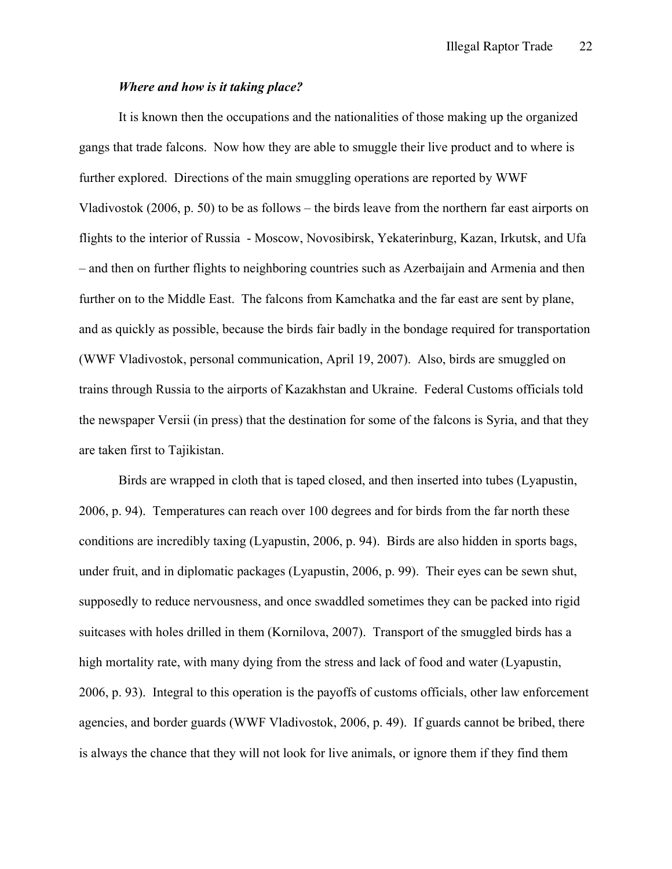#### *Where and how is it taking place?*

It is known then the occupations and the nationalities of those making up the organized gangs that trade falcons. Now how they are able to smuggle their live product and to where is further explored. Directions of the main smuggling operations are reported by WWF Vladivostok (2006, p. 50) to be as follows – the birds leave from the northern far east airports on flights to the interior of Russia - Moscow, Novosibirsk, Yekaterinburg, Kazan, Irkutsk, and Ufa – and then on further flights to neighboring countries such as Azerbaijain and Armenia and then further on to the Middle East. The falcons from Kamchatka and the far east are sent by plane, and as quickly as possible, because the birds fair badly in the bondage required for transportation (WWF Vladivostok, personal communication, April 19, 2007). Also, birds are smuggled on trains through Russia to the airports of Kazakhstan and Ukraine. Federal Customs officials told the newspaper Versii (in press) that the destination for some of the falcons is Syria, and that they are taken first to Tajikistan.

Birds are wrapped in cloth that is taped closed, and then inserted into tubes (Lyapustin, 2006, p. 94). Temperatures can reach over 100 degrees and for birds from the far north these conditions are incredibly taxing (Lyapustin, 2006, p. 94). Birds are also hidden in sports bags, under fruit, and in diplomatic packages (Lyapustin, 2006, p. 99). Their eyes can be sewn shut, supposedly to reduce nervousness, and once swaddled sometimes they can be packed into rigid suitcases with holes drilled in them (Kornilova, 2007). Transport of the smuggled birds has a high mortality rate, with many dying from the stress and lack of food and water (Lyapustin, 2006, p. 93). Integral to this operation is the payoffs of customs officials, other law enforcement agencies, and border guards (WWF Vladivostok, 2006, p. 49). If guards cannot be bribed, there is always the chance that they will not look for live animals, or ignore them if they find them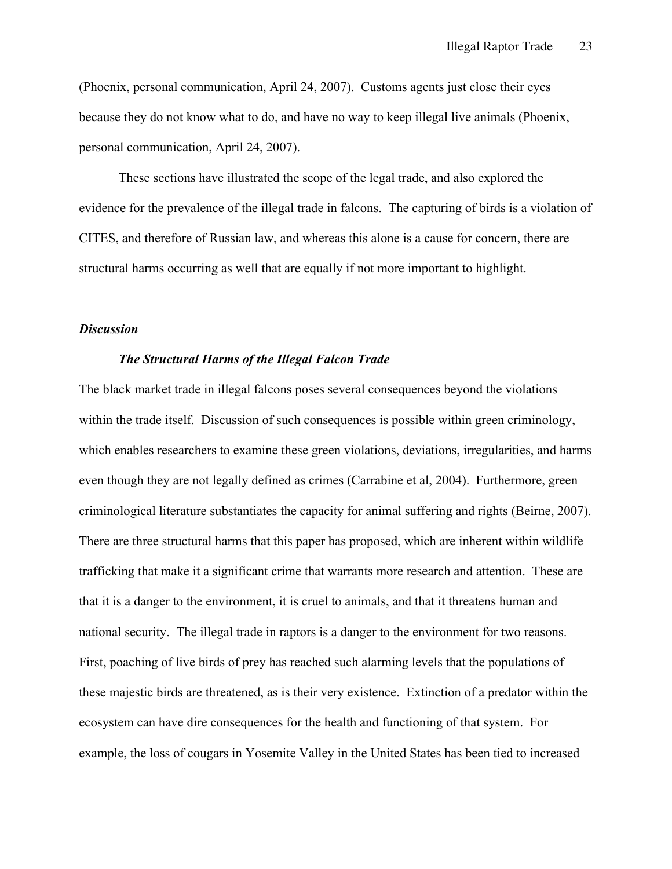(Phoenix, personal communication, April 24, 2007). Customs agents just close their eyes because they do not know what to do, and have no way to keep illegal live animals (Phoenix, personal communication, April 24, 2007).

These sections have illustrated the scope of the legal trade, and also explored the evidence for the prevalence of the illegal trade in falcons. The capturing of birds is a violation of CITES, and therefore of Russian law, and whereas this alone is a cause for concern, there are structural harms occurring as well that are equally if not more important to highlight.

# *Discussion*

## *The Structural Harms of the Illegal Falcon Trade*

The black market trade in illegal falcons poses several consequences beyond the violations within the trade itself. Discussion of such consequences is possible within green criminology, which enables researchers to examine these green violations, deviations, irregularities, and harms even though they are not legally defined as crimes (Carrabine et al, 2004). Furthermore, green criminological literature substantiates the capacity for animal suffering and rights (Beirne, 2007). There are three structural harms that this paper has proposed, which are inherent within wildlife trafficking that make it a significant crime that warrants more research and attention. These are that it is a danger to the environment, it is cruel to animals, and that it threatens human and national security. The illegal trade in raptors is a danger to the environment for two reasons. First, poaching of live birds of prey has reached such alarming levels that the populations of these majestic birds are threatened, as is their very existence. Extinction of a predator within the ecosystem can have dire consequences for the health and functioning of that system. For example, the loss of cougars in Yosemite Valley in the United States has been tied to increased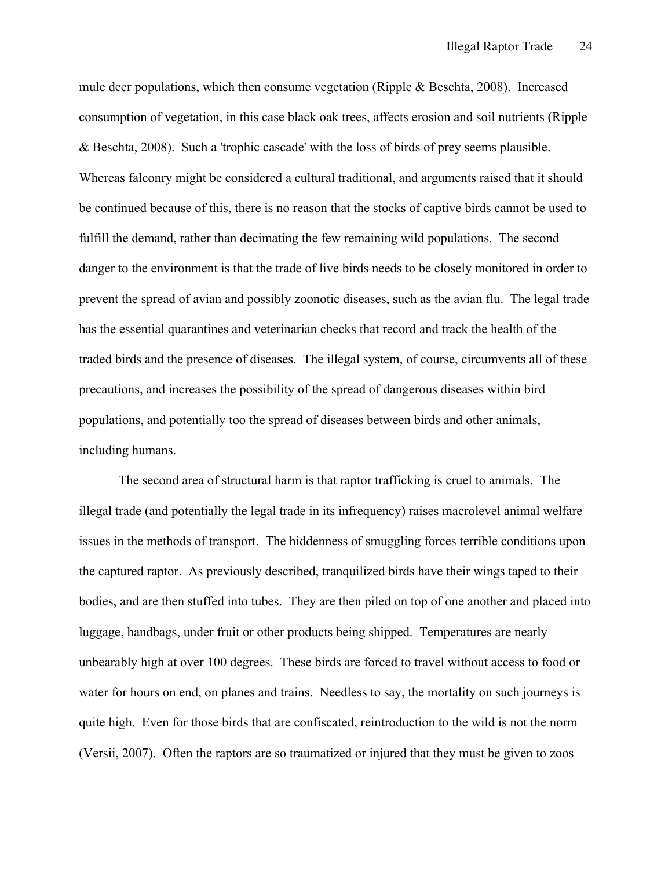mule deer populations, which then consume vegetation (Ripple & Beschta, 2008). Increased consumption of vegetation, in this case black oak trees, affects erosion and soil nutrients (Ripple & Beschta, 2008). Such a 'trophic cascade' with the loss of birds of prey seems plausible. Whereas falconry might be considered a cultural traditional, and arguments raised that it should be continued because of this, there is no reason that the stocks of captive birds cannot be used to fulfill the demand, rather than decimating the few remaining wild populations. The second danger to the environment is that the trade of live birds needs to be closely monitored in order to prevent the spread of avian and possibly zoonotic diseases, such as the avian flu. The legal trade has the essential quarantines and veterinarian checks that record and track the health of the traded birds and the presence of diseases. The illegal system, of course, circumvents all of these precautions, and increases the possibility of the spread of dangerous diseases within bird populations, and potentially too the spread of diseases between birds and other animals, including humans.

The second area of structural harm is that raptor trafficking is cruel to animals. The illegal trade (and potentially the legal trade in its infrequency) raises macrolevel animal welfare issues in the methods of transport. The hiddenness of smuggling forces terrible conditions upon the captured raptor. As previously described, tranquilized birds have their wings taped to their bodies, and are then stuffed into tubes. They are then piled on top of one another and placed into luggage, handbags, under fruit or other products being shipped. Temperatures are nearly unbearably high at over 100 degrees. These birds are forced to travel without access to food or water for hours on end, on planes and trains. Needless to say, the mortality on such journeys is quite high. Even for those birds that are confiscated, reintroduction to the wild is not the norm (Versii, 2007). Often the raptors are so traumatized or injured that they must be given to zoos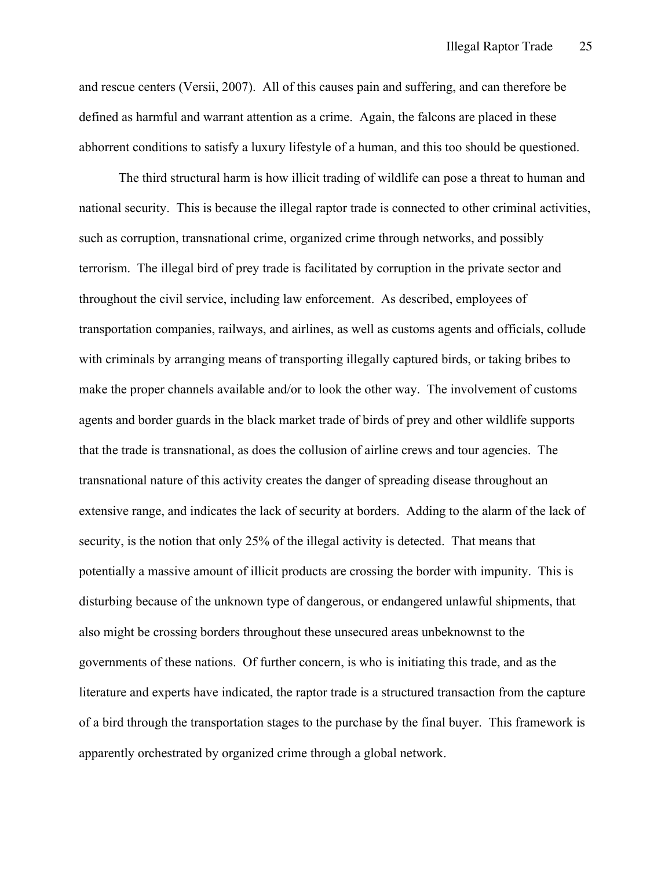and rescue centers (Versii, 2007). All of this causes pain and suffering, and can therefore be defined as harmful and warrant attention as a crime. Again, the falcons are placed in these abhorrent conditions to satisfy a luxury lifestyle of a human, and this too should be questioned.

The third structural harm is how illicit trading of wildlife can pose a threat to human and national security. This is because the illegal raptor trade is connected to other criminal activities, such as corruption, transnational crime, organized crime through networks, and possibly terrorism. The illegal bird of prey trade is facilitated by corruption in the private sector and throughout the civil service, including law enforcement. As described, employees of transportation companies, railways, and airlines, as well as customs agents and officials, collude with criminals by arranging means of transporting illegally captured birds, or taking bribes to make the proper channels available and/or to look the other way. The involvement of customs agents and border guards in the black market trade of birds of prey and other wildlife supports that the trade is transnational, as does the collusion of airline crews and tour agencies. The transnational nature of this activity creates the danger of spreading disease throughout an extensive range, and indicates the lack of security at borders. Adding to the alarm of the lack of security, is the notion that only 25% of the illegal activity is detected. That means that potentially a massive amount of illicit products are crossing the border with impunity. This is disturbing because of the unknown type of dangerous, or endangered unlawful shipments, that also might be crossing borders throughout these unsecured areas unbeknownst to the governments of these nations. Of further concern, is who is initiating this trade, and as the literature and experts have indicated, the raptor trade is a structured transaction from the capture of a bird through the transportation stages to the purchase by the final buyer. This framework is apparently orchestrated by organized crime through a global network.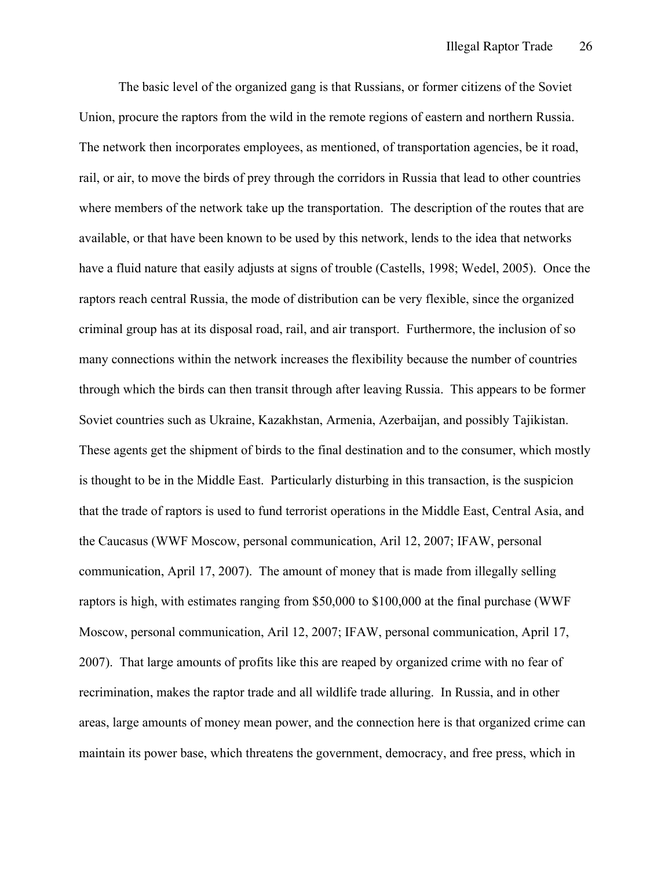The basic level of the organized gang is that Russians, or former citizens of the Soviet Union, procure the raptors from the wild in the remote regions of eastern and northern Russia. The network then incorporates employees, as mentioned, of transportation agencies, be it road, rail, or air, to move the birds of prey through the corridors in Russia that lead to other countries where members of the network take up the transportation. The description of the routes that are available, or that have been known to be used by this network, lends to the idea that networks have a fluid nature that easily adjusts at signs of trouble (Castells, 1998; Wedel, 2005). Once the raptors reach central Russia, the mode of distribution can be very flexible, since the organized criminal group has at its disposal road, rail, and air transport. Furthermore, the inclusion of so many connections within the network increases the flexibility because the number of countries through which the birds can then transit through after leaving Russia. This appears to be former Soviet countries such as Ukraine, Kazakhstan, Armenia, Azerbaijan, and possibly Tajikistan. These agents get the shipment of birds to the final destination and to the consumer, which mostly is thought to be in the Middle East. Particularly disturbing in this transaction, is the suspicion that the trade of raptors is used to fund terrorist operations in the Middle East, Central Asia, and the Caucasus (WWF Moscow, personal communication, Aril 12, 2007; IFAW, personal communication, April 17, 2007). The amount of money that is made from illegally selling raptors is high, with estimates ranging from \$50,000 to \$100,000 at the final purchase (WWF Moscow, personal communication, Aril 12, 2007; IFAW, personal communication, April 17, 2007). That large amounts of profits like this are reaped by organized crime with no fear of recrimination, makes the raptor trade and all wildlife trade alluring. In Russia, and in other areas, large amounts of money mean power, and the connection here is that organized crime can maintain its power base, which threatens the government, democracy, and free press, which in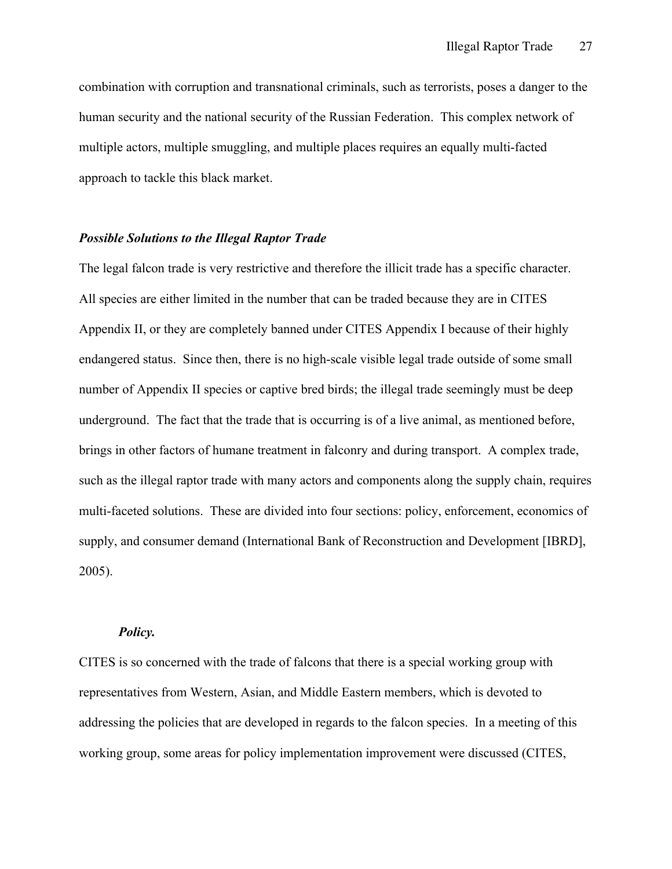combination with corruption and transnational criminals, such as terrorists, poses a danger to the human security and the national security of the Russian Federation. This complex network of multiple actors, multiple smuggling, and multiple places requires an equally multi-facted approach to tackle this black market.

## *Possible Solutions to the Illegal Raptor Trade*

The legal falcon trade is very restrictive and therefore the illicit trade has a specific character. All species are either limited in the number that can be traded because they are in CITES Appendix II, or they are completely banned under CITES Appendix I because of their highly endangered status. Since then, there is no high-scale visible legal trade outside of some small number of Appendix II species or captive bred birds; the illegal trade seemingly must be deep underground. The fact that the trade that is occurring is of a live animal, as mentioned before, brings in other factors of humane treatment in falconry and during transport. A complex trade, such as the illegal raptor trade with many actors and components along the supply chain, requires multi-faceted solutions. These are divided into four sections: policy, enforcement, economics of supply, and consumer demand (International Bank of Reconstruction and Development [IBRD], 2005).

#### *Policy.*

CITES is so concerned with the trade of falcons that there is a special working group with representatives from Western, Asian, and Middle Eastern members, which is devoted to addressing the policies that are developed in regards to the falcon species. In a meeting of this working group, some areas for policy implementation improvement were discussed (CITES,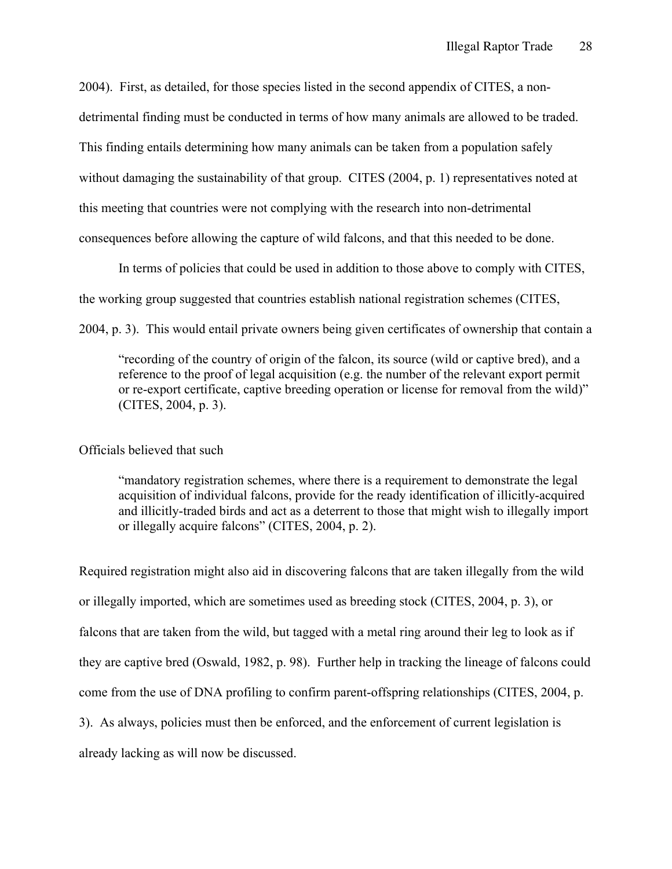2004). First, as detailed, for those species listed in the second appendix of CITES, a nondetrimental finding must be conducted in terms of how many animals are allowed to be traded. This finding entails determining how many animals can be taken from a population safely without damaging the sustainability of that group. CITES (2004, p. 1) representatives noted at this meeting that countries were not complying with the research into non-detrimental consequences before allowing the capture of wild falcons, and that this needed to be done.

In terms of policies that could be used in addition to those above to comply with CITES, the working group suggested that countries establish national registration schemes (CITES, 2004, p. 3). This would entail private owners being given certificates of ownership that contain a

"recording of the country of origin of the falcon, its source (wild or captive bred), and a reference to the proof of legal acquisition (e.g. the number of the relevant export permit or re-export certificate, captive breeding operation or license for removal from the wild)" (CITES, 2004, p. 3).

Officials believed that such

"mandatory registration schemes, where there is a requirement to demonstrate the legal acquisition of individual falcons, provide for the ready identification of illicitly-acquired and illicitly-traded birds and act as a deterrent to those that might wish to illegally import or illegally acquire falcons" (CITES, 2004, p. 2).

Required registration might also aid in discovering falcons that are taken illegally from the wild or illegally imported, which are sometimes used as breeding stock (CITES, 2004, p. 3), or falcons that are taken from the wild, but tagged with a metal ring around their leg to look as if they are captive bred (Oswald, 1982, p. 98). Further help in tracking the lineage of falcons could come from the use of DNA profiling to confirm parent-offspring relationships (CITES, 2004, p. 3). As always, policies must then be enforced, and the enforcement of current legislation is already lacking as will now be discussed.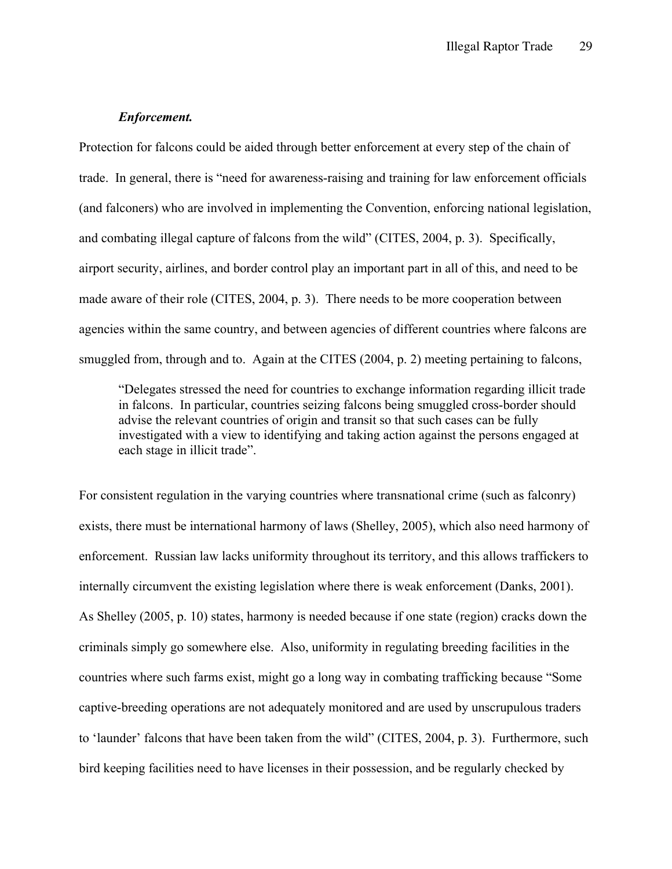## *Enforcement.*

Protection for falcons could be aided through better enforcement at every step of the chain of trade. In general, there is "need for awareness-raising and training for law enforcement officials (and falconers) who are involved in implementing the Convention, enforcing national legislation, and combating illegal capture of falcons from the wild" (CITES, 2004, p. 3). Specifically, airport security, airlines, and border control play an important part in all of this, and need to be made aware of their role (CITES, 2004, p. 3). There needs to be more cooperation between agencies within the same country, and between agencies of different countries where falcons are smuggled from, through and to. Again at the CITES (2004, p. 2) meeting pertaining to falcons,

"Delegates stressed the need for countries to exchange information regarding illicit trade in falcons. In particular, countries seizing falcons being smuggled cross-border should advise the relevant countries of origin and transit so that such cases can be fully investigated with a view to identifying and taking action against the persons engaged at each stage in illicit trade".

For consistent regulation in the varying countries where transnational crime (such as falconry) exists, there must be international harmony of laws (Shelley, 2005), which also need harmony of enforcement. Russian law lacks uniformity throughout its territory, and this allows traffickers to internally circumvent the existing legislation where there is weak enforcement (Danks, 2001). As Shelley (2005, p. 10) states, harmony is needed because if one state (region) cracks down the criminals simply go somewhere else. Also, uniformity in regulating breeding facilities in the countries where such farms exist, might go a long way in combating trafficking because "Some captive-breeding operations are not adequately monitored and are used by unscrupulous traders to 'launder' falcons that have been taken from the wild" (CITES, 2004, p. 3). Furthermore, such bird keeping facilities need to have licenses in their possession, and be regularly checked by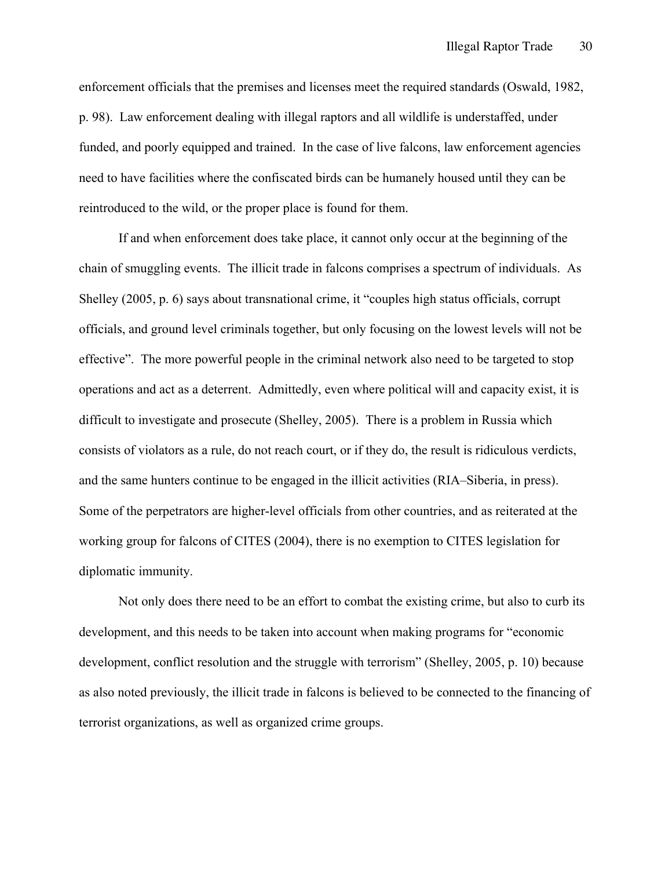enforcement officials that the premises and licenses meet the required standards (Oswald, 1982, p. 98). Law enforcement dealing with illegal raptors and all wildlife is understaffed, under funded, and poorly equipped and trained. In the case of live falcons, law enforcement agencies need to have facilities where the confiscated birds can be humanely housed until they can be reintroduced to the wild, or the proper place is found for them.

If and when enforcement does take place, it cannot only occur at the beginning of the chain of smuggling events. The illicit trade in falcons comprises a spectrum of individuals. As Shelley (2005, p. 6) says about transnational crime, it "couples high status officials, corrupt officials, and ground level criminals together, but only focusing on the lowest levels will not be effective". The more powerful people in the criminal network also need to be targeted to stop operations and act as a deterrent. Admittedly, even where political will and capacity exist, it is difficult to investigate and prosecute (Shelley, 2005). There is a problem in Russia which consists of violators as a rule, do not reach court, or if they do, the result is ridiculous verdicts, and the same hunters continue to be engaged in the illicit activities (RIA–Siberia, in press). Some of the perpetrators are higher-level officials from other countries, and as reiterated at the working group for falcons of CITES (2004), there is no exemption to CITES legislation for diplomatic immunity.

Not only does there need to be an effort to combat the existing crime, but also to curb its development, and this needs to be taken into account when making programs for "economic development, conflict resolution and the struggle with terrorism" (Shelley, 2005, p. 10) because as also noted previously, the illicit trade in falcons is believed to be connected to the financing of terrorist organizations, as well as organized crime groups.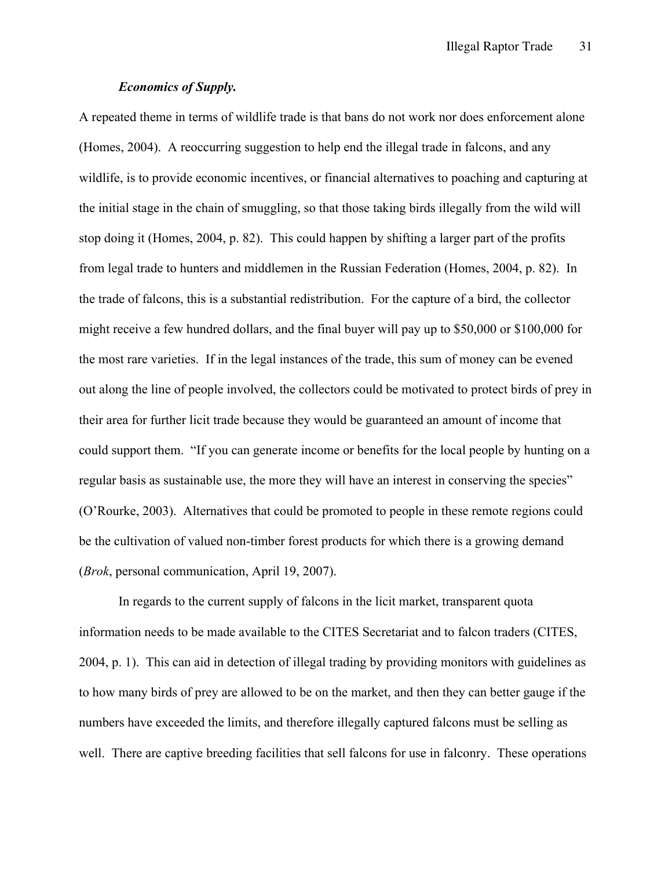## *Economics of Supply.*

A repeated theme in terms of wildlife trade is that bans do not work nor does enforcement alone (Homes, 2004). A reoccurring suggestion to help end the illegal trade in falcons, and any wildlife, is to provide economic incentives, or financial alternatives to poaching and capturing at the initial stage in the chain of smuggling, so that those taking birds illegally from the wild will stop doing it (Homes, 2004, p. 82). This could happen by shifting a larger part of the profits from legal trade to hunters and middlemen in the Russian Federation (Homes, 2004, p. 82). In the trade of falcons, this is a substantial redistribution. For the capture of a bird, the collector might receive a few hundred dollars, and the final buyer will pay up to \$50,000 or \$100,000 for the most rare varieties. If in the legal instances of the trade, this sum of money can be evened out along the line of people involved, the collectors could be motivated to protect birds of prey in their area for further licit trade because they would be guaranteed an amount of income that could support them. "If you can generate income or benefits for the local people by hunting on a regular basis as sustainable use, the more they will have an interest in conserving the species" (O'Rourke, 2003). Alternatives that could be promoted to people in these remote regions could be the cultivation of valued non-timber forest products for which there is a growing demand (*Brok*, personal communication, April 19, 2007).

In regards to the current supply of falcons in the licit market, transparent quota information needs to be made available to the CITES Secretariat and to falcon traders (CITES, 2004, p. 1). This can aid in detection of illegal trading by providing monitors with guidelines as to how many birds of prey are allowed to be on the market, and then they can better gauge if the numbers have exceeded the limits, and therefore illegally captured falcons must be selling as well. There are captive breeding facilities that sell falcons for use in falconry. These operations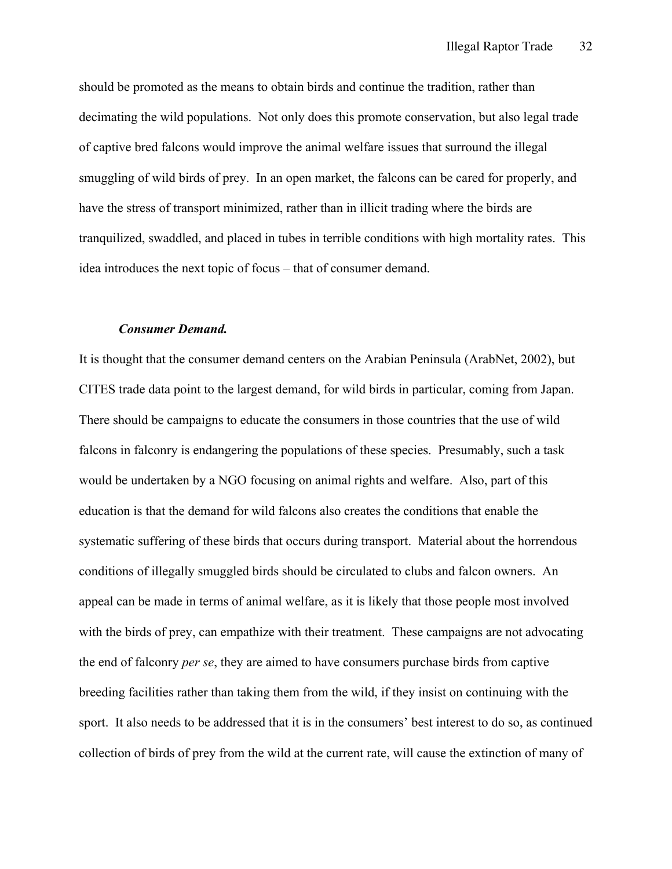should be promoted as the means to obtain birds and continue the tradition, rather than decimating the wild populations. Not only does this promote conservation, but also legal trade of captive bred falcons would improve the animal welfare issues that surround the illegal smuggling of wild birds of prey. In an open market, the falcons can be cared for properly, and have the stress of transport minimized, rather than in illicit trading where the birds are tranquilized, swaddled, and placed in tubes in terrible conditions with high mortality rates. This idea introduces the next topic of focus – that of consumer demand.

#### *Consumer Demand.*

It is thought that the consumer demand centers on the Arabian Peninsula (ArabNet, 2002), but CITES trade data point to the largest demand, for wild birds in particular, coming from Japan. There should be campaigns to educate the consumers in those countries that the use of wild falcons in falconry is endangering the populations of these species. Presumably, such a task would be undertaken by a NGO focusing on animal rights and welfare. Also, part of this education is that the demand for wild falcons also creates the conditions that enable the systematic suffering of these birds that occurs during transport. Material about the horrendous conditions of illegally smuggled birds should be circulated to clubs and falcon owners. An appeal can be made in terms of animal welfare, as it is likely that those people most involved with the birds of prey, can empathize with their treatment. These campaigns are not advocating the end of falconry *per se*, they are aimed to have consumers purchase birds from captive breeding facilities rather than taking them from the wild, if they insist on continuing with the sport. It also needs to be addressed that it is in the consumers' best interest to do so, as continued collection of birds of prey from the wild at the current rate, will cause the extinction of many of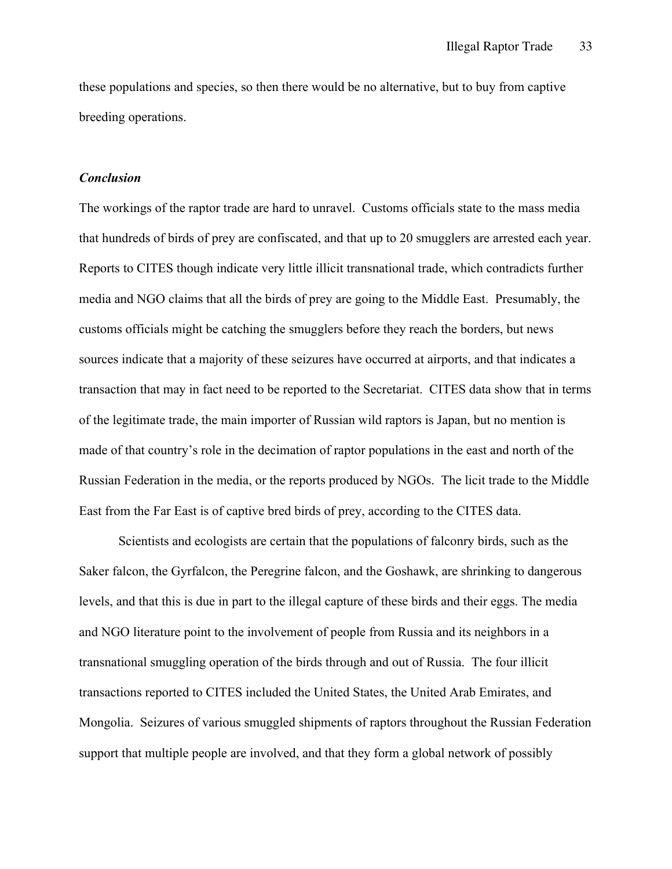these populations and species, so then there would be no alternative, but to buy from captive breeding operations.

#### *Conclusion*

The workings of the raptor trade are hard to unravel. Customs officials state to the mass media that hundreds of birds of prey are confiscated, and that up to 20 smugglers are arrested each year. Reports to CITES though indicate very little illicit transnational trade, which contradicts further media and NGO claims that all the birds of prey are going to the Middle East. Presumably, the customs officials might be catching the smugglers before they reach the borders, but news sources indicate that a majority of these seizures have occurred at airports, and that indicates a transaction that may in fact need to be reported to the Secretariat. CITES data show that in terms of the legitimate trade, the main importer of Russian wild raptors is Japan, but no mention is made of that country's role in the decimation of raptor populations in the east and north of the Russian Federation in the media, or the reports produced by NGOs. The licit trade to the Middle East from the Far East is of captive bred birds of prey, according to the CITES data.

Scientists and ecologists are certain that the populations of falconry birds, such as the Saker falcon, the Gyrfalcon, the Peregrine falcon, and the Goshawk, are shrinking to dangerous levels, and that this is due in part to the illegal capture of these birds and their eggs. The media and NGO literature point to the involvement of people from Russia and its neighbors in a transnational smuggling operation of the birds through and out of Russia. The four illicit transactions reported to CITES included the United States, the United Arab Emirates, and Mongolia. Seizures of various smuggled shipments of raptors throughout the Russian Federation support that multiple people are involved, and that they form a global network of possibly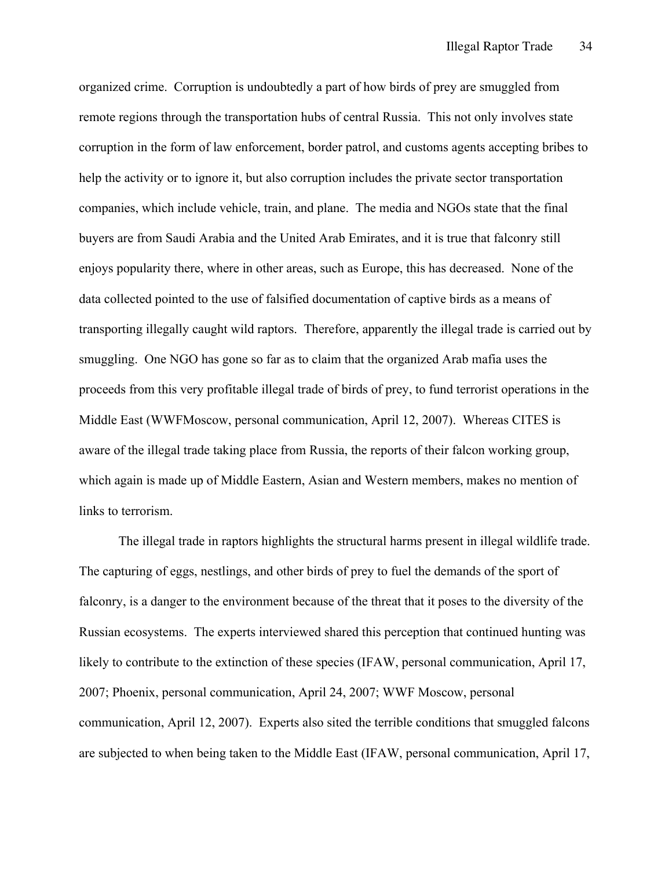organized crime. Corruption is undoubtedly a part of how birds of prey are smuggled from remote regions through the transportation hubs of central Russia. This not only involves state corruption in the form of law enforcement, border patrol, and customs agents accepting bribes to help the activity or to ignore it, but also corruption includes the private sector transportation companies, which include vehicle, train, and plane. The media and NGOs state that the final buyers are from Saudi Arabia and the United Arab Emirates, and it is true that falconry still enjoys popularity there, where in other areas, such as Europe, this has decreased. None of the data collected pointed to the use of falsified documentation of captive birds as a means of transporting illegally caught wild raptors. Therefore, apparently the illegal trade is carried out by smuggling. One NGO has gone so far as to claim that the organized Arab mafia uses the proceeds from this very profitable illegal trade of birds of prey, to fund terrorist operations in the Middle East (WWFMoscow, personal communication, April 12, 2007). Whereas CITES is aware of the illegal trade taking place from Russia, the reports of their falcon working group, which again is made up of Middle Eastern, Asian and Western members, makes no mention of links to terrorism.

The illegal trade in raptors highlights the structural harms present in illegal wildlife trade. The capturing of eggs, nestlings, and other birds of prey to fuel the demands of the sport of falconry, is a danger to the environment because of the threat that it poses to the diversity of the Russian ecosystems. The experts interviewed shared this perception that continued hunting was likely to contribute to the extinction of these species (IFAW, personal communication, April 17, 2007; Phoenix, personal communication, April 24, 2007; WWF Moscow, personal communication, April 12, 2007). Experts also sited the terrible conditions that smuggled falcons are subjected to when being taken to the Middle East (IFAW, personal communication, April 17,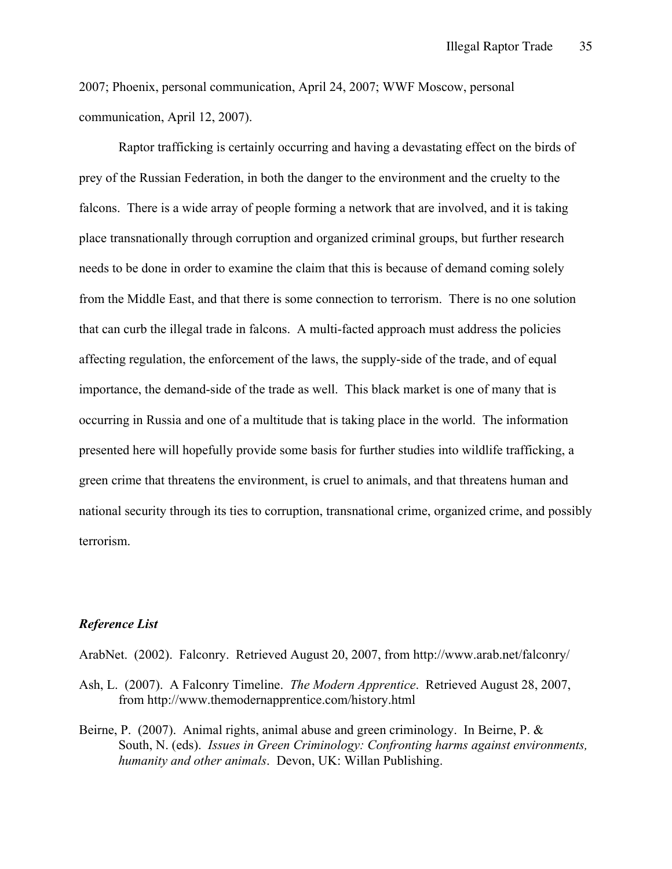2007; Phoenix, personal communication, April 24, 2007; WWF Moscow, personal communication, April 12, 2007).

Raptor trafficking is certainly occurring and having a devastating effect on the birds of prey of the Russian Federation, in both the danger to the environment and the cruelty to the falcons. There is a wide array of people forming a network that are involved, and it is taking place transnationally through corruption and organized criminal groups, but further research needs to be done in order to examine the claim that this is because of demand coming solely from the Middle East, and that there is some connection to terrorism. There is no one solution that can curb the illegal trade in falcons. A multi-facted approach must address the policies affecting regulation, the enforcement of the laws, the supply-side of the trade, and of equal importance, the demand-side of the trade as well. This black market is one of many that is occurring in Russia and one of a multitude that is taking place in the world. The information presented here will hopefully provide some basis for further studies into wildlife trafficking, a green crime that threatens the environment, is cruel to animals, and that threatens human and national security through its ties to corruption, transnational crime, organized crime, and possibly terrorism.

## *Reference List*

ArabNet. (2002). Falconry. Retrieved August 20, 2007, from http://www.arab.net/falconry/

- Ash, L. (2007). A Falconry Timeline. *The Modern Apprentice*. Retrieved August 28, 2007, from http://www.themodernapprentice.com/history.html
- Beirne, P. (2007). Animal rights, animal abuse and green criminology. In Beirne, P. & South, N. (eds). *Issues in Green Criminology: Confronting harms against environments, humanity and other animals*. Devon, UK: Willan Publishing.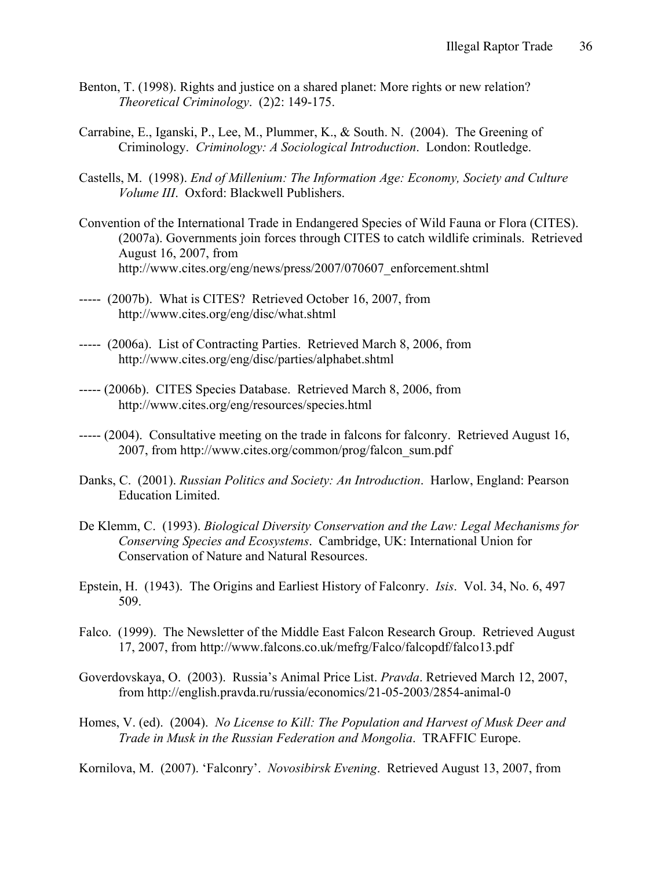- Benton, T. (1998). Rights and justice on a shared planet: More rights or new relation? *Theoretical Criminology*. (2)2: 149-175.
- Carrabine, E., Iganski, P., Lee, M., Plummer, K., & South. N. (2004). The Greening of Criminology. *Criminology: A Sociological Introduction*. London: Routledge.
- Castells, M. (1998). *End of Millenium: The Information Age: Economy, Society and Culture Volume III*. Oxford: Blackwell Publishers.
- Convention of the International Trade in Endangered Species of Wild Fauna or Flora (CITES). (2007a). Governments join forces through CITES to catch wildlife criminals. Retrieved August 16, 2007, from http://www.cites.org/eng/news/press/2007/070607\_enforcement.shtml
- ----- (2007b). What is CITES? Retrieved October 16, 2007, from http://www.cites.org/eng/disc/what.shtml
- ----- (2006a). List of Contracting Parties. Retrieved March 8, 2006, from http://www.cites.org/eng/disc/parties/alphabet.shtml
- ----- (2006b). CITES Species Database. Retrieved March 8, 2006, from http://www.cites.org/eng/resources/species.html
- ----- (2004). Consultative meeting on the trade in falcons for falconry. Retrieved August 16, 2007, from http://www.cites.org/common/prog/falcon\_sum.pdf
- Danks, C. (2001). *Russian Politics and Society: An Introduction*. Harlow, England: Pearson Education Limited.
- De Klemm, C. (1993). *Biological Diversity Conservation and the Law: Legal Mechanisms for Conserving Species and Ecosystems*. Cambridge, UK: International Union for Conservation of Nature and Natural Resources.
- Epstein, H. (1943). The Origins and Earliest History of Falconry. *Isis*. Vol. 34, No. 6, 497 509.
- Falco. (1999). The Newsletter of the Middle East Falcon Research Group. Retrieved August 17, 2007, from http://www.falcons.co.uk/mefrg/Falco/falcopdf/falco13.pdf
- Goverdovskaya, O. (2003). Russia's Animal Price List. *Pravda*. Retrieved March 12, 2007, from http://english.pravda.ru/russia/economics/21-05-2003/2854-animal-0
- Homes, V. (ed). (2004). *No License to Kill: The Population and Harvest of Musk Deer and Trade in Musk in the Russian Federation and Mongolia*. TRAFFIC Europe.

Kornilova, M. (2007). 'Falconry'. *Novosibirsk Evening*. Retrieved August 13, 2007, from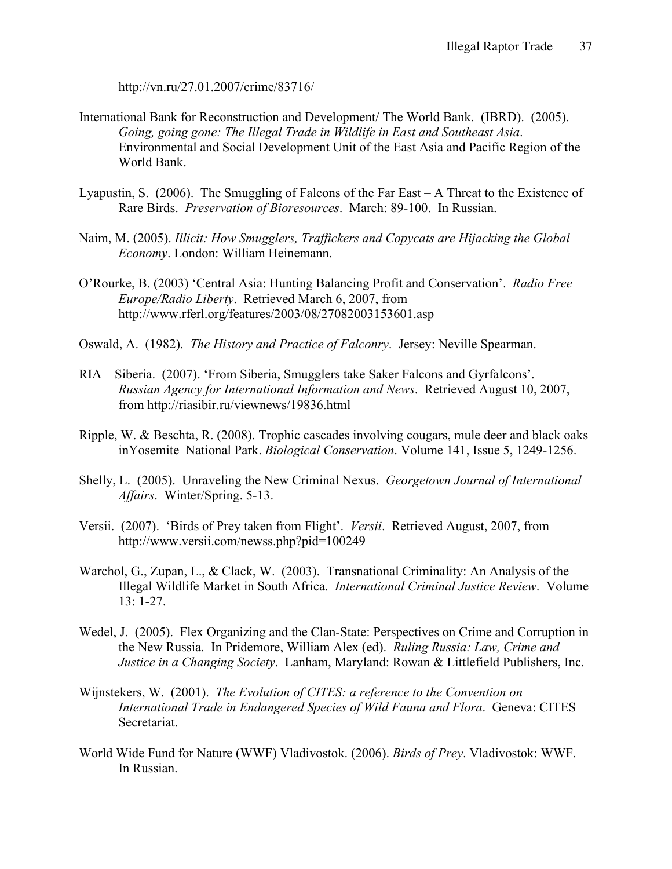http://vn.ru/27.01.2007/crime/83716/

- International Bank for Reconstruction and Development/ The World Bank. (IBRD). (2005). *Going, going gone: The Illegal Trade in Wildlife in East and Southeast Asia*. Environmental and Social Development Unit of the East Asia and Pacific Region of the World Bank.
- Lyapustin, S. (2006). The Smuggling of Falcons of the Far East A Threat to the Existence of Rare Birds. *Preservation of Bioresources*. March: 89-100. In Russian.
- Naim, M. (2005). *Illicit: How Smugglers, Traffickers and Copycats are Hijacking the Global Economy*. London: William Heinemann.
- O'Rourke, B. (2003) 'Central Asia: Hunting Balancing Profit and Conservation'. *Radio Free Europe/Radio Liberty*. Retrieved March 6, 2007, from http://www.rferl.org/features/2003/08/27082003153601.asp
- Oswald, A. (1982). *The History and Practice of Falconry*. Jersey: Neville Spearman.
- RIA Siberia. (2007). 'From Siberia, Smugglers take Saker Falcons and Gyrfalcons'. *Russian Agency for International Information and News*. Retrieved August 10, 2007, from http://riasibir.ru/viewnews/19836.html
- Ripple, W. & Beschta, R. (2008). Trophic cascades involving cougars, mule deer and black oaks inYosemite National Park. *Biological Conservation*. Volume 141, Issue 5, 1249-1256.
- Shelly, L. (2005). Unraveling the New Criminal Nexus. *Georgetown Journal of International Affairs*. Winter/Spring. 5-13.
- Versii. (2007). 'Birds of Prey taken from Flight'. *Versii*. Retrieved August, 2007, from http://www.versii.com/newss.php?pid=100249
- Warchol, G., Zupan, L., & Clack, W. (2003). Transnational Criminality: An Analysis of the Illegal Wildlife Market in South Africa. *International Criminal Justice Review*. Volume 13: 1-27.
- Wedel, J. (2005). Flex Organizing and the Clan-State: Perspectives on Crime and Corruption in the New Russia. In Pridemore, William Alex (ed). *Ruling Russia: Law, Crime and Justice in a Changing Society*. Lanham, Maryland: Rowan & Littlefield Publishers, Inc.
- Wijnstekers, W. (2001). *The Evolution of CITES: a reference to the Convention on International Trade in Endangered Species of Wild Fauna and Flora*. Geneva: CITES Secretariat.
- World Wide Fund for Nature (WWF) Vladivostok. (2006). *Birds of Prey*. Vladivostok: WWF. In Russian.